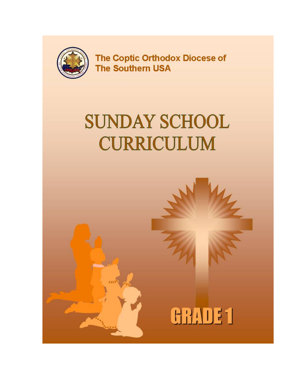

The Coptic Orthodox Diocese of<br>The Southern USA

# **SUNDAY SCHOOL CURRICULUM**

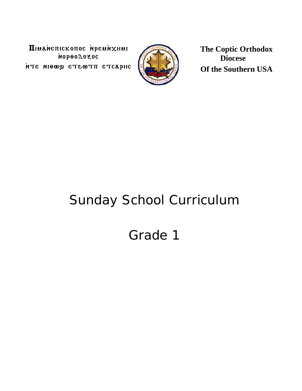Πιαλήθητα του δρεαήχειαι nopoo $\Delta$ ozoc nde niews etswan etcaphc



**The Coptic Orthodox Diocese Of the Southern USA** 

## Sunday School Curriculum

Grade 1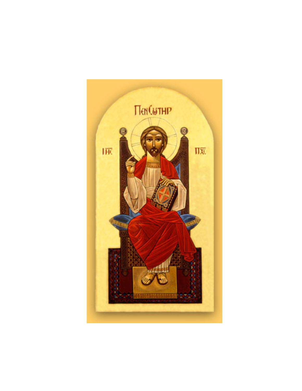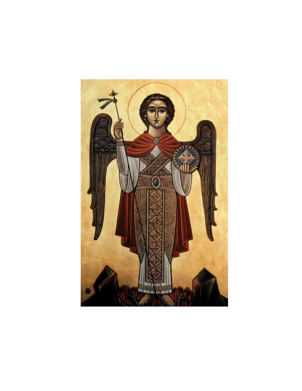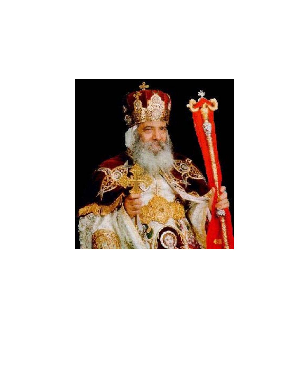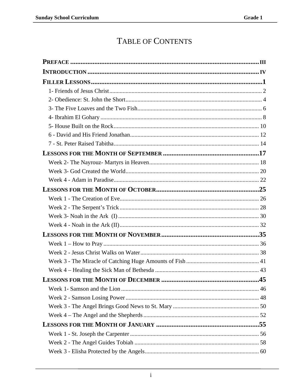## TABLE OF CONTENTS

| .45 |
|-----|
|     |
|     |
|     |
|     |
|     |
|     |
|     |
|     |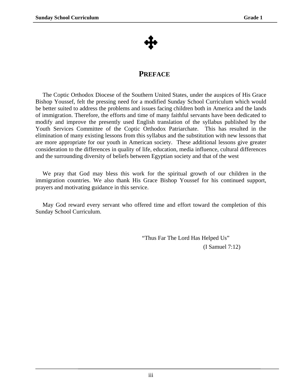

## **PREFACE**

<span id="page-8-0"></span>The Coptic Orthodox Diocese of the Southern United States, under the auspices of His Grace Bishop Youssef, felt the pressing need for a modified Sunday School Curriculum which would be better suited to address the problems and issues facing children both in America and the lands of immigration. Therefore, the efforts and time of many faithful servants have been dedicated to modify and improve the presently used English translation of the syllabus published by the Youth Services Committee of the Coptic Orthodox Patriarchate. This has resulted in the elimination of many existing lessons from this syllabus and the substitution with new lessons that are more appropriate for our youth in American society. These additional lessons give greater consideration to the differences in quality of life, education, media influence, cultural differences and the surrounding diversity of beliefs between Egyptian society and that of the west

We pray that God may bless this work for the spiritual growth of our children in the immigration countries. We also thank His Grace Bishop Youssef for his continued support, prayers and motivating guidance in this service.

May God reward every servant who offered time and effort toward the completion of this Sunday School Curriculum.

> "Thus Far The Lord Has Helped Us" (I Samuel 7:12)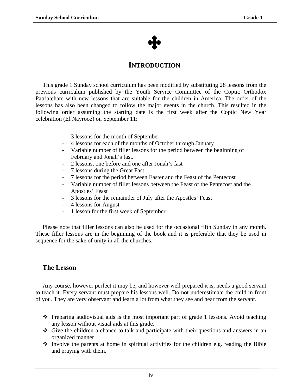

## **INTRODUCTION**

<span id="page-9-0"></span>This grade 1 Sunday school curriculum has been modified by substituting 28 lessons from the previous curriculum published by the Youth Service Committee of the Coptic Orthodox Patriatchate with new lessons that are suitable for the children in America. The order of the lessons has also been changed to follow the major events in the church. This resulted in the following order assuming the starting date is the first week after the Coptic New Year celebration (El Nayrooz) on September 11:

- 3 lessons for the month of September
- 4 lessons for each of the months of October through January
- Variable number of filler lessons for the period between the beginning of February and Jonah's fast.
- 2 lessons, one before and one after Jonah's fast
- 7 lessons during the Great Fast
- 7 lessons for the period between Easter and the Feast of the Pentecost
- Variable number of filler lessons between the Feast of the Pentecost and the Apostles' Feast
- 3 lessons for the remainder of July after the Apostles' Feast
- 4 lessons for August
- 1 lesson for the first week of September

Please note that filler lessons can also be used for the occasional fifth Sunday in any month. These filler lessons are in the beginning of the book and it is preferable that they be used in sequence for the sake of unity in all the churches.

#### **The Lesson**

Any course, however perfect it may be, and however well prepared it is, needs a good servant to teach it. Every servant must prepare his lessons well. Do not underestimate the child in front of you. They are very observant and learn a lot from what they see and hear from the servant.

- Preparing audiovisual aids is the most important part of grade 1 lessons. Avoid teaching any lesson without visual aids at this grade.
- Give the children a chance to talk and participate with their questions and answers in an organized manner
- $\cdot$  Involve the parents at home in spiritual activities for the children e.g. reading the Bible and praying with them.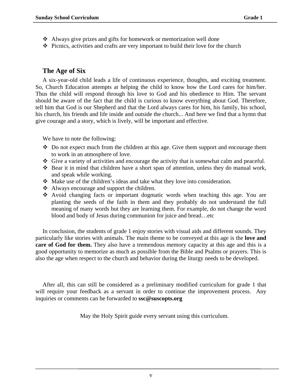- Always give prizes and gifts for homework or memorization well done
- Picnics, activities and crafts are very important to build their love for the church

#### **The Age of Six**

A six-year-old child leads a life of continuous experience, thoughts, and exciting treatment. So, Church Education attempts at helping the child to know how the Lord cares for him/her. Thus the child will respond through his love to God and his obedience to Him. The servant should be aware of the fact that the child is curious to know everything about God. Therefore, tell him that God is our Shepherd and that the Lord always cares for him, his family, his school, his church, his friends and life inside and outside the church... And here we find that a hymn that give courage and a story, which is lively, will be important and effective.

We have to note the following:

- Do not expect much from the children at this age. Give them support and encourage them to work in an atmosphere of love.
- Give a variety of activities and encourage the activity that is somewhat calm and peaceful.
- Bear it in mind that children have a short span of attention, unless they do manual work, and speak while working.
- Make use of the children's ideas and take what they love into consideration.
- Always encourage and support the children.
- Avoid changing facts or important dogmatic words when teaching this age. You are planting the seeds of the faith in them and they probably do not understand the full meaning of many words but they are learning them. For example, do not change the word blood and body of Jesus during communion for juice and bread…etc

In conclusion, the students of grade 1 enjoy stories with visual aids and different sounds. They particularly like stories with animals. The main theme to be conveyed at this age is the **love and care of God for them.** They also have a tremendous memory capacity at this age and this is a good opportunity to memorize as much as possible from the Bible and Psalms or prayers. This is also the age when respect to the church and behavior during the liturgy needs to be developed.

After all, this can still be considered as a preliminary modified curriculum for grade 1 that will require your feedback as a servant in order to continue the improvement process. Any inquiries or comments can be forwarded to **ssc@suscopts.org**

May the Holy Spirit guide every servant using this curriculum.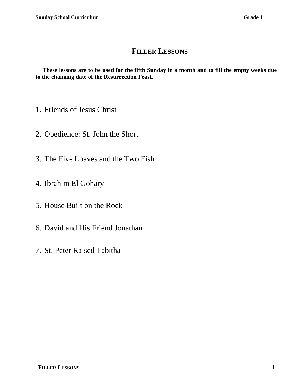## **FILLER LESSONS**

<span id="page-12-0"></span>**These lessons are to be used for the fifth Sunday in a month and to fill the empty weeks due to the changing date of the Resurrection Feast.** 

- 1. Friends of Jesus Christ
- 2. Obedience: St. John the Short
- 3. The Five Loaves and the Two Fish
- 4. Ibrahim El Gohary
- 5. House Built on the Rock
- 6. David and His Friend Jonathan
- 7. St. Peter Raised Tabitha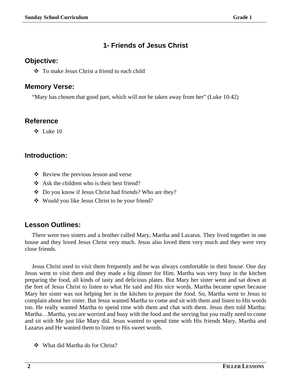## **1- Friends of Jesus Christ**

#### <span id="page-13-0"></span>**Objective:**

To make Jesus Christ a friend to each child

## **Memory Verse:**

"Mary has chosen that good part, which will not be taken away from her" (Luke 10:42)

## **Reference**

Luke 10

## **Introduction:**

- $\triangleleft$  Review the previous lesson and verse
- $\triangleleft$  Ask the children who is their best friend?
- Do you know if Jesus Christ had friends? Who are they?
- Would you like Jesus Christ to be your friend?

## **Lesson Outlines:**

There were two sisters and a brother called Mary, Martha and Lazarus. They lived together in one house and they loved Jesus Christ very much. Jesus also loved them very much and they were very close friends.

Jesus Christ used to visit them frequently and he was always comfortable in their house. One day Jesus went to visit them and they made a big dinner for Him. Martha was very busy in the kitchen preparing the food, all kinds of tasty and delicious plates. But Mary her sister went and sat down at the feet of Jesus Christ to listen to what He said and His nice words. Martha became upset because Mary her sister was not helping her in the kitchen to prepare the food. So, Martha went to Jesus to complain about her sister. But Jesus wanted Martha to come and sit with them and listen to His words too. He really wanted Martha to spend time with them and chat with them. Jesus then told Martha: Martha…Martha, you are worried and busy with the food and the serving but you really need to come and sit with Me just like Mary did. Jesus wanted to spend time with His friends Mary, Martha and Lazarus and He wanted them to listen to His sweet words.

What did Martha do for Christ?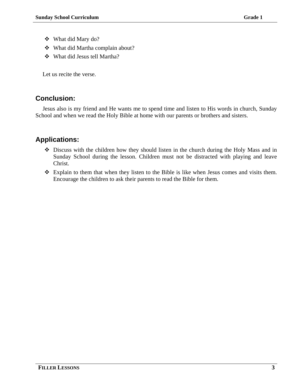- What did Mary do?
- What did Martha complain about?
- What did Jesus tell Martha?

Let us recite the verse.

## **Conclusion:**

Jesus also is my friend and He wants me to spend time and listen to His words in church, Sunday School and when we read the Holy Bible at home with our parents or brothers and sisters.

- Discuss with the children how they should listen in the church during the Holy Mass and in Sunday School during the lesson. Children must not be distracted with playing and leave Christ.
- Explain to them that when they listen to the Bible is like when Jesus comes and visits them. Encourage the children to ask their parents to read the Bible for them.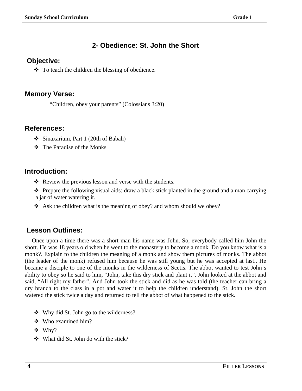## **2- Obedience: St. John the Short**

#### <span id="page-15-0"></span> **Objective:**

To teach the children the blessing of obedience.

#### **Memory Verse:**

"Children, obey your parents" (Colossians 3:20)

## **References:**

- $\div$  Sinaxarium, Part 1 (20th of Babah)
- The Paradise of the Monks

## **Introduction:**

- $\triangle$  Review the previous lesson and verse with the students.
- Prepare the following visual aids: draw a black stick planted in the ground and a man carrying a jar of water watering it.
- $\triangleleft$  Ask the children what is the meaning of obey? and whom should we obey?

## **Lesson Outlines:**

Once upon a time there was a short man his name was John. So, everybody called him John the short. He was 18 years old when he went to the monastery to become a monk. Do you know what is a monk?. Explain to the children the meaning of a monk and show them pictures of monks. The abbot (the leader of the monk) refused him because he was still young but he was accepted at last.. He became a disciple to one of the monks in the wilderness of Scetis. The abbot wanted to test John's ability to obey so he said to him, "John, take this dry stick and plant it". John looked at the abbot and said, "All right my father". And John took the stick and did as he was told (the teacher can bring a dry branch to the class in a pot and water it to help the children understand). St. John the short watered the stick twice a day and returned to tell the abbot of what happened to the stick.

- $\triangleleft$  Why did St. John go to the wilderness?
- Who examined him?
- Why?
- What did St. John do with the stick?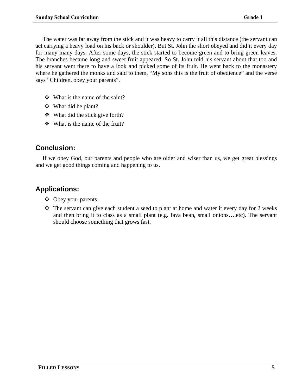The water was far away from the stick and it was heavy to carry it all this distance (the servant can act carrying a heavy load on his back or shoulder). But St. John the short obeyed and did it every day for many many days. After some days, the stick started to become green and to bring green leaves. The branches became long and sweet fruit appeared. So St. John told his servant about that too and his servant went there to have a look and picked some of its fruit. He went back to the monastery where he gathered the monks and said to them, "My sons this is the fruit of obedience" and the verse says "Children, obey your parents".

- What is the name of the saint?
- What did he plant?
- What did the stick give forth?
- What is the name of the fruit?

#### **Conclusion:**

If we obey God, our parents and people who are older and wiser than us, we get great blessings and we get good things coming and happening to us.

- Obey your parents.
- $\cdot \cdot$  The servant can give each student a seed to plant at home and water it every day for 2 weeks and then bring it to class as a small plant (e.g. fava bean, small onions….etc). The servant should choose something that grows fast.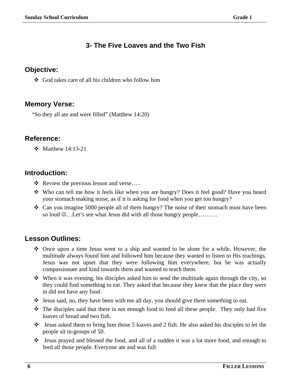## **3- The Five Loaves and the Two Fish**

## <span id="page-17-0"></span>**Objective:**

God takes care of all his children who follow him

#### **Memory Verse:**

"So they all ate and were filled" (Matthew 14:20)

#### **Reference:**

 $\div$  Matthew 14:13-21

#### **Introduction:**

- $\triangleleft$  Review the previous lesson and verse....
- Who can tell me how it feels like when you are hungry? Does it feel good? Have you heard your stomach making noise, as if it is asking for food when you get too hungry?
- $\cdot$  Can you imagine 5000 people all of them hungry? The noise of their stomach must have been so loud  $\odot$ ... Let's see what Jesus did with all those hungry people.........

## **Lesson Outlines:**

- $\div$  Once upon a time Jesus went to a ship and wanted to be alone for a while. However, the multitude always found him and followed him because they wanted to listen to His teachings. Jesus was not upset that they were following him everywhere, but he was actually compassionate and kind towards them and wanted to teach them.
- $\div$  When it was evening, his disciples asked him to send the multitude again through the city, so they could find something to eat. They asked that because they knew that the place they were in did not have any food.
- $\clubsuit$  Jesus said, no, they have been with me all day, you should give them something to eat.
- The disciples said that there is not enough food to feed all these people. They only had five loaves of bread and two fish.
- Jesus asked them to bring him those 5 loaves and 2 fish. He also asked his disciples to let the people sit in-groups of 50.
- Jesus prayed and blessed the food, and all of a sudden it was a lot more food, and enough to feed all those people. Everyone ate and was full.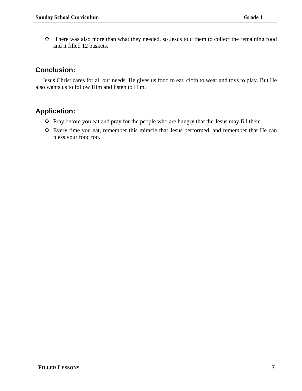There was also more than what they needed, so Jesus told them to collect the remaining food and it filled 12 baskets.

## **Conclusion:**

Jesus Christ cares for all our needs. He gives us food to eat, cloth to wear and toys to play. But He also wants us to follow Him and listen to Him.

- \* Pray before you eat and pray for the people who are hungry that the Jesus may fill them
- Every time you eat, remember this miracle that Jesus performed, and remember that He can bless your food too.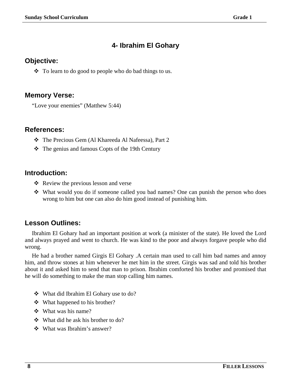## **4- Ibrahim El Gohary**

## <span id="page-19-0"></span>**Objective:**

❖ To learn to do good to people who do bad things to us.

## **Memory Verse:**

"Love your enemies" (Matthew 5:44)

## **References:**

- The Precious Gem (Al Khareeda Al Nafeessa), Part 2
- The genius and famous Copts of the 19th Century

## **Introduction:**

- $\triangleleft$  Review the previous lesson and verse
- What would you do if someone called you bad names? One can punish the person who does wrong to him but one can also do him good instead of punishing him.

## **Lesson Outlines:**

Ibrahim El Gohary had an important position at work (a minister of the state). He loved the Lord and always prayed and went to church. He was kind to the poor and always forgave people who did wrong.

He had a brother named Girgis El Gohary .A certain man used to call him bad names and annoy him, and throw stones at him whenever he met him in the street. Girgis was sad and told his brother about it and asked him to send that man to prison. Ibrahim comforted his brother and promised that he will do something to make the man stop calling him names.

- What did Ibrahim El Gohary use to do?
- ❖ What happened to his brother?
- ❖ What was his name?
- What did he ask his brother to do?
- What was Ibrahim's answer?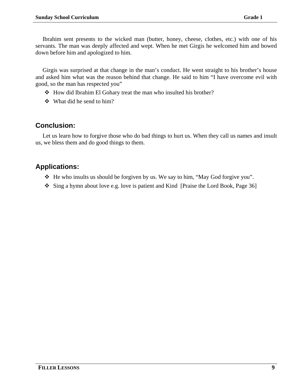Ibrahim sent presents to the wicked man (butter, honey, cheese, clothes, etc.) with one of his servants. The man was deeply affected and wept. When he met Girgis he welcomed him and bowed down before him and apologized to him.

Girgis was surprised at that change in the man's conduct. He went straight to his brother's house and asked him what was the reason behind that change. He said to him "I have overcome evil with good, so the man has respected you"

- ◆ How did Ibrahim El Gohary treat the man who insulted his brother?
- $\div$  What did he send to him?

## **Conclusion:**

Let us learn how to forgive those who do bad things to hurt us. When they call us names and insult us, we bless them and do good things to them.

- $\mathbf{\hat{P}}$  He who insults us should be forgiven by us. We say to him, "May God forgive you".
- Sing a hymn about love e.g. love is patient and Kind [Praise the Lord Book, Page 36]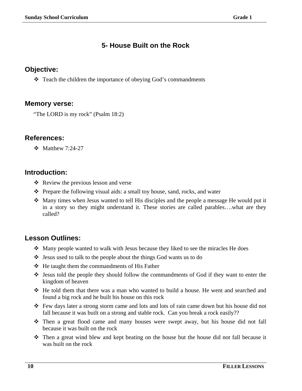## **5- House Built on the Rock**

#### <span id="page-21-0"></span>**Objective:**

Teach the children the importance of obeying God's commandments

#### **Memory verse:**

"The LORD is my rock" (Psalm 18:2)

#### **References:**

❖ Matthew 7:24-27

#### **Introduction:**

- $\triangleleft$  Review the previous lesson and verse
- $\mathbf{\hat{P}}$  Prepare the following visual aids: a small toy house, sand, rocks, and water
- Many times when Jesus wanted to tell His disciples and the people a message He would put it in a story so they might understand it. These stories are called parables….what are they called?

## **Lesson Outlines:**

- $\triangle$  Many people wanted to walk with Jesus because they liked to see the miracles He does
- $\triangleleft$  Jesus used to talk to the people about the things God wants us to do
- $\triangleleft$  He taught them the commandments of His Father
- $\clubsuit$  Jesus told the people they should follow the commandments of God if they want to enter the kingdom of heaven
- $\div$  He told them that there was a man who wanted to build a house. He went and searched and found a big rock and he built his house on this rock
- $\div$  Few days later a strong storm came and lots and lots of rain came down but his house did not fall because it was built on a strong and stable rock. Can you break a rock easily??
- Then a great flood came and many houses were swept away, but his house did not fall because it was built on the rock
- Then a great wind blew and kept beating on the house but the house did not fall because it was built on the rock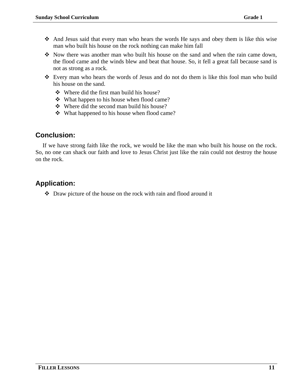- And Jesus said that every man who hears the words He says and obey them is like this wise man who built his house on the rock nothing can make him fall
- Now there was another man who built his house on the sand and when the rain came down, the flood came and the winds blew and beat that house. So, it fell a great fall because sand is not as strong as a rock.
- Every man who hears the words of Jesus and do not do them is like this fool man who build his house on the sand.
	- Where did the first man build his house?
	- ◆ What happen to his house when flood came?
	- Where did the second man build his house?
	- ◆ What happened to his house when flood came?

## **Conclusion:**

If we have strong faith like the rock, we would be like the man who built his house on the rock. So, no one can shack our faith and love to Jesus Christ just like the rain could not destroy the house on the rock.

## **Application:**

Draw picture of the house on the rock with rain and flood around it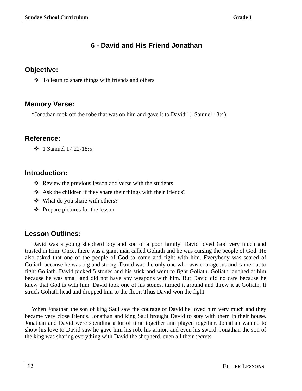## **6 - David and His Friend Jonathan**

## <span id="page-23-0"></span>**Objective:**

 $\cdot \cdot$  To learn to share things with friends and others

## **Memory Verse:**

"Jonathan took off the robe that was on him and gave it to David" (1Samuel 18:4)

## **Reference:**

 $\div$  1 Samuel 17:22-18:5

## **Introduction:**

- $\triangle$  Review the previous lesson and verse with the students
- $\triangleleft$  Ask the children if they share their things with their friends?
- What do you share with others?
- $\triangle$  Prepare pictures for the lesson

## **Lesson Outlines:**

David was a young shepherd boy and son of a poor family. David loved God very much and trusted in Him. Once, there was a giant man called Goliath and he was cursing the people of God. He also asked that one of the people of God to come and fight with him. Everybody was scared of Goliath because he was big and strong. David was the only one who was courageous and came out to fight Goliath. David picked 5 stones and his stick and went to fight Goliath. Goliath laughed at him because he was small and did not have any weapons with him. But David did no care because he knew that God is with him. David took one of his stones, turned it around and threw it at Goliath. It struck Goliath head and dropped him to the floor. Thus David won the fight.

When Jonathan the son of king Saul saw the courage of David he loved him very much and they became very close friends. Jonathan and king Saul brought David to stay with them in their house. Jonathan and David were spending a lot of time together and played together. Jonathan wanted to show his love to David saw he gave him his rob, his armor, and even his sword. Jonathan the son of the king was sharing everything with David the shepherd, even all their secrets.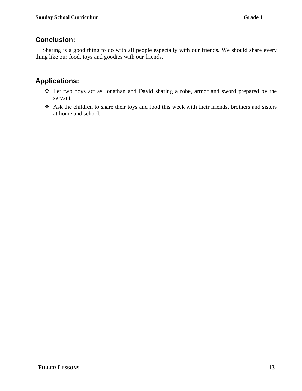## **Conclusion:**

Sharing is a good thing to do with all people especially with our friends. We should share every thing like our food, toys and goodies with our friends.

- Let two boys act as Jonathan and David sharing a robe, armor and sword prepared by the servant
- Ask the children to share their toys and food this week with their friends, brothers and sisters at home and school.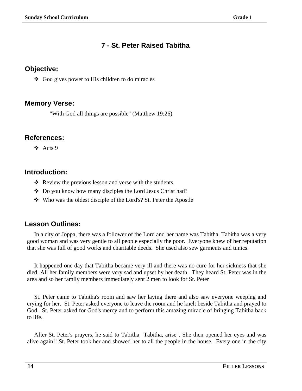## **7 - St. Peter Raised Tabitha**

## <span id="page-25-0"></span>**Objective:**

❖ God gives power to His children to do miracles

#### **Memory Verse:**

"With God all things are possible" (Matthew 19:26)

#### **References:**

Acts 9

## **Introduction:**

- $\triangle$  Review the previous lesson and verse with the students.
- ◆ Do you know how many disciples the Lord Jesus Christ had?
- Who was the oldest disciple of the Lord's? St. Peter the Apostle

## **Lesson Outlines:**

In a city of Joppa, there was a follower of the Lord and her name was Tabitha. Tabitha was a very good woman and was very gentle to all people especially the poor. Everyone knew of her reputation that she was full of good works and charitable deeds. She used also sew garments and tunics.

It happened one day that Tabitha became very ill and there was no cure for her sickness that she died. All her family members were very sad and upset by her death. They heard St. Peter was in the area and so her family members immediately sent 2 men to look for St. Peter

St. Peter came to Tabitha's room and saw her laying there and also saw everyone weeping and crying for her. St. Peter asked everyone to leave the room and he knelt beside Tabitha and prayed to God. St. Peter asked for God's mercy and to perform this amazing miracle of bringing Tabitha back to life.

After St. Peter's prayers, he said to Tabitha "Tabitha, arise". She then opened her eyes and was alive again!! St. Peter took her and showed her to all the people in the house. Every one in the city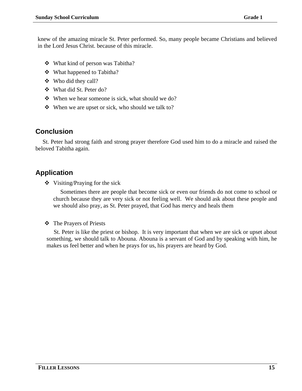knew of the amazing miracle St. Peter performed. So, many people became Christians and believed in the Lord Jesus Christ. because of this miracle.

- What kind of person was Tabitha?
- What happened to Tabitha?
- Who did they call?
- What did St. Peter do?
- When we hear someone is sick, what should we do?
- $\triangleleft$  When we are upset or sick, who should we talk to?

## **Conclusion**

St. Peter had strong faith and strong prayer therefore God used him to do a miracle and raised the beloved Tabitha again.

## **Application**

 $\triangleleft$  Visiting/Praying for the sick

Sometimes there are people that become sick or even our friends do not come to school or church because they are very sick or not feeling well. We should ask about these people and we should also pray, as St. Peter prayed, that God has mercy and heals them

The Prayers of Priests

St. Peter is like the priest or bishop. It is very important that when we are sick or upset about something, we should talk to Abouna. Abouna is a servant of God and by speaking with him, he makes us feel better and when he prays for us, his prayers are heard by God.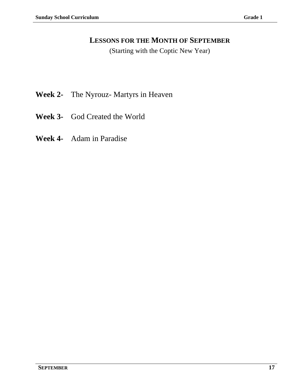## <span id="page-28-0"></span>**LESSONS FOR THE MONTH OF SEPTEMBER**

(Starting with the Coptic New Year)

- **Week 2-** The Nyrouz- Martyrs in Heaven
- **Week 3-** God Created the World
- **Week 4-** Adam in Paradise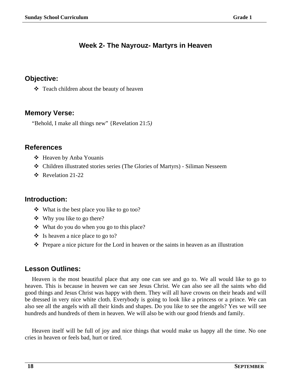## **Week 2- The Nayrouz- Martyrs in Heaven**

## <span id="page-29-0"></span>**Objective:**

Teach children about the beauty of heaven

## **Memory Verse:**

"Behold, I make all things new" {Revelation 21:5*)* 

#### **References**

- Heaven by Anba Youanis
- Children illustrated stories series (The Glories of Martyrs) Siliman Nesseem
- ❖ Revelation 21-22

## **Introduction:**

- $\triangleleft$  What is the best place you like to go too?
- Why you like to go there?
- **❖** What do you do when you go to this place?
- $\cdot \cdot$  Is heaven a nice place to go to?
- $\hat{\mathbf{v}}$  Prepare a nice picture for the Lord in heaven or the saints in heaven as an illustration

## **Lesson Outlines:**

Heaven is the most beautiful place that any one can see and go to. We all would like to go to heaven. This is because in heaven we can see Jesus Christ. We can also see all the saints who did good things and Jesus Christ was happy with them. They will all have crowns on their heads and will be dressed in very nice white cloth. Everybody is going to look like a princess or a prince. We can also see all the angels with all their kinds and shapes. Do you like to see the angels? Yes we will see hundreds and hundreds of them in heaven. We will also be with our good friends and family.

Heaven itself will be full of joy and nice things that would make us happy all the time. No one cries in heaven or feels bad, hurt or tired.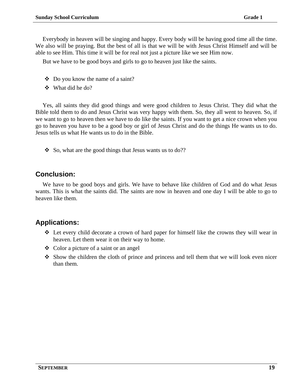Everybody in heaven will be singing and happy. Every body will be having good time all the time. We also will be praying. But the best of all is that we will be with Jesus Christ Himself and will be able to see Him. This time it will be for real not just a picture like we see Him now.

But we have to be good boys and girls to go to heaven just like the saints.

- Do you know the name of a saint?
- What did he do?

Yes, all saints they did good things and were good children to Jesus Christ. They did what the Bible told them to do and Jesus Christ was very happy with them. So, they all went to heaven. So, if we want to go to heaven then we have to do like the saints. If you want to get a nice crown when you go to heaven you have to be a good boy or girl of Jesus Christ and do the things He wants us to do. Jesus tells us what He wants us to do in the Bible.

 $\bullet$  So, what are the good things that Jesus wants us to do??

#### **Conclusion:**

We have to be good boys and girls. We have to behave like children of God and do what Jesus wants. This is what the saints did. The saints are now in heaven and one day I will be able to go to heaven like them.

- Let every child decorate a crown of hard paper for himself like the crowns they will wear in heaven. Let them wear it on their way to home.
- Color a picture of a saint or an angel
- $\cdot$  Show the children the cloth of prince and princess and tell them that we will look even nicer than them.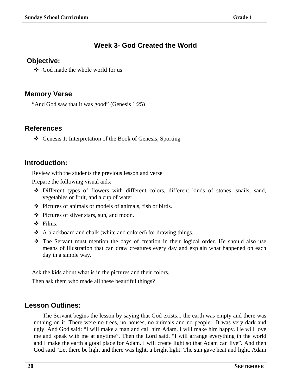## **Week 3- God Created the World**

#### <span id="page-31-0"></span> **Objective:**

God made the whole world for us

#### **Memory Verse**

"And God saw that it was good" (Genesis 1:25)

## **References**

Genesis 1: Interpretation of the Book of Genesis, Sporting

## **Introduction:**

Review with the students the previous lesson and verse

Prepare the following visual aids:

- Different types of flowers with different colors, different kinds of stones, snails, sand, vegetables or fruit, and a cup of water.
- Pictures of animals or models of animals, fish or birds.
- $\triangleleft$  Pictures of silver stars, sun, and moon.
- ❖ Films.
- $\triangleleft$  A blackboard and chalk (white and colored) for drawing things.
- The Servant must mention the days of creation in their logical order. He should also use means of illustration that can draw creatures every day and explain what happened on each day in a simple way.

Ask the kids about what is in the pictures and their colors.

Then ask them who made all these beautiful things?

## **Lesson Outlines:**

The Servant begins the lesson by saying that God exists... the earth was empty and there was nothing on it. There were no trees, no houses, no animals and no people. It was very dark and ugly. And God said: "I will make a man and call him Adam. I will make him happy. He will love me and speak with me at anytime". Then the Lord said, "I will arrange everything in the world and I make the earth a good place for Adam. I will create light so that Adam can live". And then God said "Let there be light and there was light, a bright light. The sun gave heat and light. Adam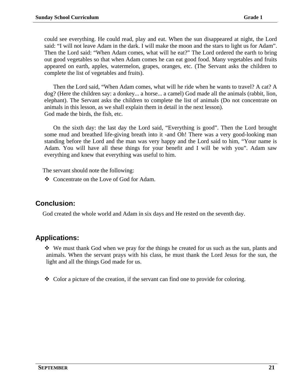could see everything. He could read, play and eat. When the sun disappeared at night, the Lord said: "I will not leave Adam in the dark. I will make the moon and the stars to light us for Adam". Then the Lord said: "When Adam comes, what will he eat?" The Lord ordered the earth to bring out good vegetables so that when Adam comes he can eat good food. Many vegetables and fruits appeared on earth, apples, watermelon, grapes, oranges, etc. (The Servant asks the children to complete the list of vegetables and fruits).

Then the Lord said, "When Adam comes, what will he ride when he wants to travel? A cat? A dog? (Here the children say: a donkey... a horse... a camel) God made all the animals (rabbit, lion, elephant). The Servant asks the children to complete the list of animals (Do not concentrate on animals in this lesson, as we shall explain them in detail in the next lesson). God made the birds, the fish, etc.

On the sixth day: the last day the Lord said, "Everything is good". Then the Lord brought some mud and breathed life-giving breath into it -and Oh! There was a very good-looking man standing before the Lord and the man was very happy and the Lord said to him, "Your name is Adam. You will have all these things for your benefit and I will be with you". Adam saw everything and knew that everything was useful to him.

The servant should note the following:

Concentrate on the Love of God for Adam.

#### **Conclusion:**

God created the whole world and Adam in six days and He rested on the seventh day.

## **Applications:**

 $\mathbf{\hat{B}}$  We must thank God when we pray for the things he created for us such as the sun, plants and animals. When the servant prays with his class, he must thank the Lord Jesus for the sun, the light and all the things God made for us.

 $\div$  Color a picture of the creation, if the servant can find one to provide for coloring.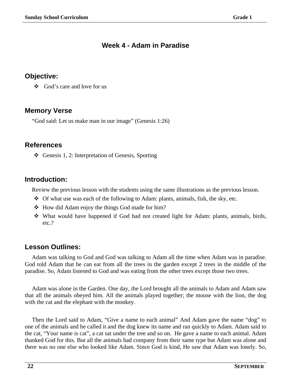## **Week 4 - Adam in Paradise**

## <span id="page-33-0"></span>**Objective:**

God's care and love for us

#### **Memory Verse**

"God said: Let us make man in our image" (Genesis 1:26)

## **References**

 $\triangleleft$  Genesis 1, 2: Interpretation of Genesis, Sporting

## **Introduction:**

Review the previous lesson with the students using the same illustrations as the previous lesson.

- $\bullet$  Of what use was each of the following to Adam: plants, animals, fish, the sky, etc.
- $\triangleleft$  How did Adam enjoy the things God made for him?
- What would have happened if God had not created light for Adam: plants, animals, birds, etc.?

## **Lesson Outlines:**

Adam was talking to God and God was talking to Adam all the time when Adam was in paradise. God told Adam that he can eat from all the trees in the garden except 2 trees in the middle of the paradise. So, Adam listened to God and was eating from the other trees except those two trees.

Adam was alone in the Garden. One day, the Lord brought all the animals to Adam and Adam saw that all the animals obeyed him. All the animals played together; the mouse with the lion, the dog with the cat and the elephant with the monkey.

Then the Lord said to Adam, "Give a name to each animal" And Adam gave the name "dog" to one of the animals and he called it and the dog knew its name and ran quickly to Adam. Adam said to the cat, "Your name is cat", a cat sat under the tree and so on. He gave a name to each animal. Adam thanked God for this. But all the animals had company from their same type but Adam was alone and there was no one else who looked like Adam. Since God is kind, He saw that Adam was lonely. So,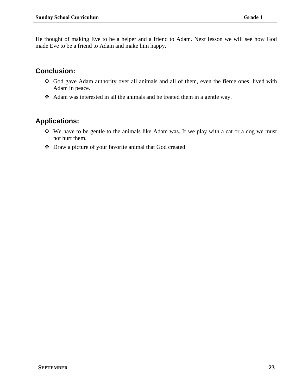## **Conclusion:**

- God gave Adam authority over all animals and all of them, even the fierce ones, lived with Adam in peace.
- Adam was interested in all the animals and he treated them in a gentle way.

- We have to be gentle to the animals like Adam was. If we play with a cat or a dog we must not hurt them.
- Draw a picture of your favorite animal that God created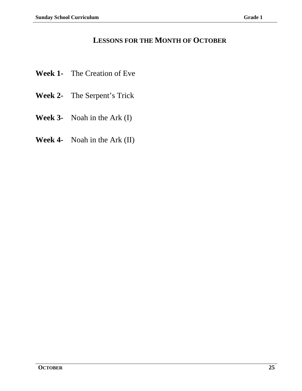# **LESSONS FOR THE MONTH OF OCTOBER**

- **Week 1-** The Creation of Eve
- **Week 2-** The Serpent's Trick
- **Week 3-** Noah in the Ark (I)
- **Week 4-** Noah in the Ark (II)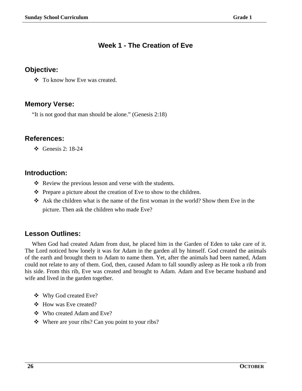# **Week 1 - The Creation of Eve**

## **Objective:**

❖ To know how Eve was created.

## **Memory Verse:**

"It is not good that man should be alone." (Genesis 2:18)

## **References:**

 $\div$  Genesis 2: 18-24

## **Introduction:**

- $\triangle$  Review the previous lesson and verse with the students.
- $\triangle$  Prepare a picture about the creation of Eve to show to the children.
- Ask the children what is the name of the first woman in the world? Show them Eve in the picture. Then ask the children who made Eve?

# **Lesson Outlines:**

When God had created Adam from dust, he placed him in the Garden of Eden to take care of it. The Lord noticed how lonely it was for Adam in the garden all by himself. God created the animals of the earth and brought them to Adam to name them. Yet, after the animals had been named, Adam could not relate to any of them. God, then, caused Adam to fall soundly asleep as He took a rib from his side. From this rib, Eve was created and brought to Adam. Adam and Eve became husband and wife and lived in the garden together.

- Why God created Eve?
- How was Eve created?
- Who created Adam and Eve?
- Where are your ribs? Can you point to your ribs?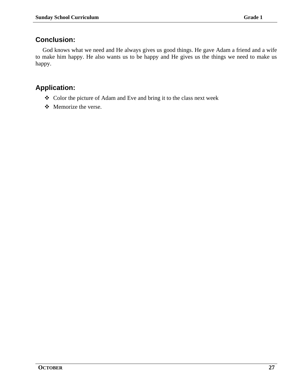# **Conclusion:**

God knows what we need and He always gives us good things. He gave Adam a friend and a wife to make him happy. He also wants us to be happy and He gives us the things we need to make us happy.

- Color the picture of Adam and Eve and bring it to the class next week
- Memorize the verse.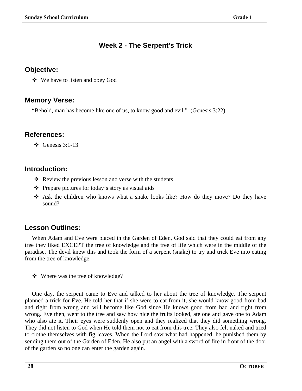# **Week 2 - The Serpent's Trick**

### **Objective:**

We have to listen and obey God

## **Memory Verse:**

"Behold, man has become like one of us, to know good and evil." (Genesis 3:22)

#### **References:**

 $\div$  Genesis 3:1-13

## **Introduction:**

- $\triangle$  Review the previous lesson and verse with the students
- $\triangle$  Prepare pictures for today's story as visual aids
- Ask the children who knows what a snake looks like? How do they move? Do they have sound?

# **Lesson Outlines:**

When Adam and Eve were placed in the Garden of Eden, God said that they could eat from any tree they liked EXCEPT the tree of knowledge and the tree of life which were in the middle of the paradise. The devil knew this and took the form of a serpent (snake) to try and trick Eve into eating from the tree of knowledge.

Where was the tree of knowledge?

One day, the serpent came to Eve and talked to her about the tree of knowledge. The serpent planned a trick for Eve. He told her that if she were to eat from it, she would know good from bad and right from wrong and will become like God since He knows good from bad and right from wrong. Eve then, went to the tree and saw how nice the fruits looked, ate one and gave one to Adam who also ate it. Their eyes were suddenly open and they realized that they did something wrong. They did not listen to God when He told them not to eat from this tree. They also felt naked and tried to clothe themselves with fig leaves. When the Lord saw what had happened, he punished them by sending them out of the Garden of Eden. He also put an angel with a sword of fire in front of the door of the garden so no one can enter the garden again.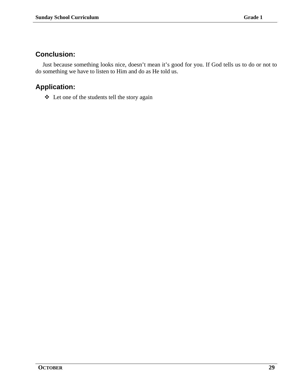## **Conclusion:**

Just because something looks nice, doesn't mean it's good for you. If God tells us to do or not to do something we have to listen to Him and do as He told us.

## **Application:**

Let one of the students tell the story again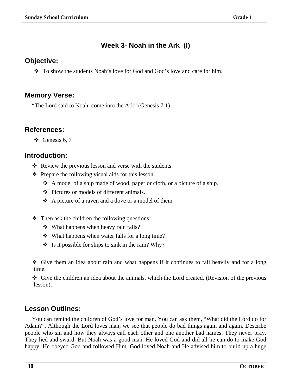# **Week 3- Noah in the Ark (I)**

#### **Objective:**

 $\div$  To show the students Noah's love for God and God's love and care for him.

## **Memory Verse:**

"The Lord said to Noah: come into the Ark" (Genesis 7:1)

# **References:**

 $\div$  Genesis 6, 7

# **Introduction:**

- $\triangle$  Review the previous lesson and verse with the students.
- $\triangle$  Prepare the following visual aids for this lesson
	- A model of a ship made of wood, paper or cloth, or a picture of a ship.
	- Pictures or models of different animals.
	- $\triangle$  A picture of a raven and a dove or a model of them.
- $\triangleleft$  Then ask the children the following questions:
	- ❖ What happens when heavy rain falls?
	- What happens when water falls for a long time?
	- $\bullet$  Is it possible for ships to sink in the rain? Why?

 $\div$  Give them an idea about rain and what happens if it continues to fall heavily and for a long time.

 Give the children an idea about the animals, which the Lord created. (Revision of the previous lesson).

# **Lesson Outlines:**

You can remind the children of God's love for man. You can ask them, "What did the Lord do for Adam?". Although the Lord loves man, we see that people do bad things again and again. Describe people who sin and how they always call each other and one another bad names. They never pray. They lied and sward. But Noah was a good man. He loved God and did all he can do to make God happy. He obeyed God and followed Him. God loved Noah and He advised him to build up a huge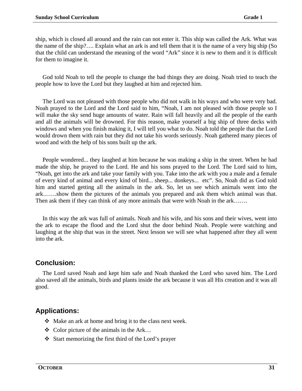ship, which is closed all around and the rain can not enter it. This ship was called the Ark. What was the name of the ship?…. Explain what an ark is and tell them that it is the name of a very big ship (So that the child can understand the meaning of the word "Ark" since it is new to them and it is difficult for them to imagine it.

God told Noah to tell the people to change the bad things they are doing. Noah tried to teach the people how to love the Lord but they laughed at him and rejected him.

The Lord was not pleased with those people who did not walk in his ways and who were very bad. Noah prayed to the Lord and the Lord said to him, "Noah, I am not pleased with those people so I will make the sky send huge amounts of water. Rain will fall heavily and all the people of the earth and all the animals will be drowned. For this reason, make yourself a big ship of three decks with windows and when you finish making it, I will tell you what to do. Noah told the people that the Lord would drown them with rain but they did not take his words seriously. Noah gathered many pieces of wood and with the help of his sons built up the ark.

People wondered... they laughed at him because he was making a ship in the street. When he had made the ship, he prayed to the Lord. He and his sons prayed to the Lord. The Lord said to him, "Noah, get into the ark and take your family with you. Take into the ark with you a male and a female of every kind of animal and every kind of bird... sheep... donkeys... etc". So, Noah did as God told him and started getting all the animals in the ark. So, let us see which animals went into the ark…….show them the pictures of the animals you prepared and ask them which animal was that. Then ask them if they can think of any more animals that were with Noah in the ark…….

In this way the ark was full of animals. Noah and his wife, and his sons and their wives, went into the ark to escape the flood and the Lord shut the door behind Noah. People were watching and laughing at the ship that was in the street. Next lesson we will see what happened after they all went into the ark.

## **Conclusion:**

The Lord saved Noah and kept him safe and Noah thanked the Lord who saved him. The Lord also saved all the animals, birds and plants inside the ark because it was all His creation and it was all good.

- $\triangleleft$  Make an ark at home and bring it to the class next week.
- $\triangleleft$  Color picture of the animals in the Ark...
- Start memorizing the first third of the Lord's prayer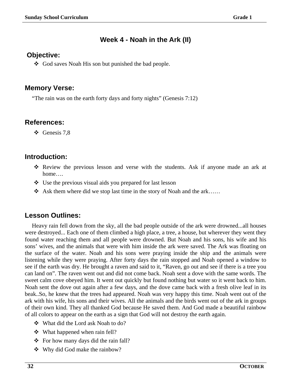## **Week 4 - Noah in the Ark (II)**

#### **Objective:**

❖ God saves Noah His son but punished the bad people.

### **Memory Verse:**

"The rain was on the earth forty days and forty nights" (Genesis 7:12)

## **References:**

 $\div$  Genesis 7,8

## **Introduction:**

- Review the previous lesson and verse with the students. Ask if anyone made an ark at home….
- Use the previous visual aids you prepared for last lesson
- Ask them where did we stop last time in the story of Noah and the ark……

# **Lesson Outlines:**

Heavy rain fell down from the sky, all the bad people outside of the ark were drowned...all houses were destroyed... Each one of them climbed a high place, a tree, a house, but wherever they went they found water reaching them and all people were drowned. But Noah and his sons, his wife and his sons' wives, and the animals that were with him inside the ark were saved. The Ark was floating on the surface of the water. Noah and his sons were praying inside the ship and the animals were listening while they were praying. After forty days the rain stopped and Noah opened a window to see if the earth was dry. He brought a raven and said to it, "Raven, go out and see if there is a tree you can land on". The raven went out and did not come back. Noah sent a dove with the same words. The sweet calm cove obeyed him. It went out quickly but found nothing but water so it went back to him. Noah sent the dove out again after a few days, and the dove came back with a fresh olive leaf in its beak..So, he knew that the trees had appeared. Noah was very happy this time. Noah went out of the ark with his wife, his sons and their wives. All the animals and the birds went out of the ark in groups of their own kind. They all thanked God because He saved them. And God made a beautiful rainbow of all colors to appear on the earth as a sign that God will not destroy the earth again.

- What did the Lord ask Noah to do?
- What happened when rain fell?
- $\cdot \cdot$  For how many days did the rain fall?
- Why did God make the rainbow?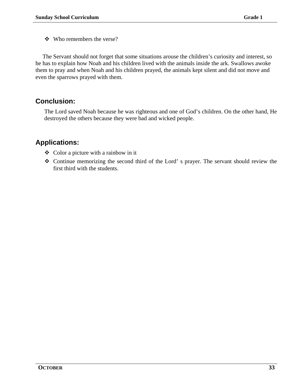Who remembers the verse?

The Servant should not forget that some situations arouse the children's curiosity and interest, so he has to explain how Noah and his children lived with the animals inside the ark. Swallows awoke them to pray and when Noah and his children prayed, the animals kept silent and did not move and even the sparrows prayed with them.

## **Conclusion:**

The Lord saved Noah because he was righteous and one of God's children. On the other hand, He destroyed the others because they were bad and wicked people.

- $\triangleleft$  Color a picture with a rainbow in it
- Continue memorizing the second third of the Lord' s prayer. The servant should review the first third with the students.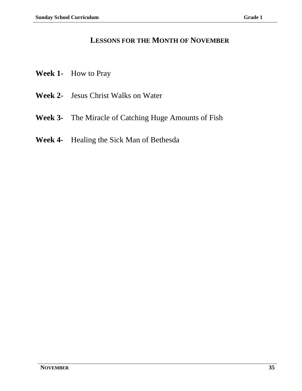# **LESSONS FOR THE MONTH OF NOVEMBER**

- **Week 1-** How to Pray
- **Week 2-** Jesus Christ Walks on Water
- **Week 3-** The Miracle of Catching Huge Amounts of Fish
- **Week 4-** Healing the Sick Man of Bethesda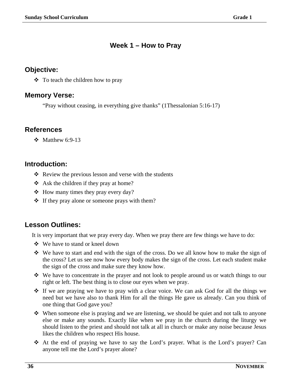# **Week 1 – How to Pray**

## **Objective:**

 $\triangleleft$  To teach the children how to pray

#### **Memory Verse:**

"Pray without ceasing, in everything give thanks" (1Thessalonian 5:16-17)

## **References**

 $\div$  Matthew 6:9-13

#### **Introduction:**

- $\triangle$  Review the previous lesson and verse with the students
- $\triangleleft$  Ask the children if they pray at home?
- $\triangleleft$  How many times they pray every day?
- $\triangleleft$  If they pray alone or someone prays with them?

# **Lesson Outlines:**

It is very important that we pray every day. When we pray there are few things we have to do:

- We have to stand or kneel down
- $\mathbf{\hat{P}}$  We have to start and end with the sign of the cross. Do we all know how to make the sign of the cross? Let us see now how every body makes the sign of the cross. Let each student make the sign of the cross and make sure they know how.
- We have to concentrate in the prayer and not look to people around us or watch things to our right or left. The best thing is to close our eyes when we pray.
- If we are praying we have to pray with a clear voice. We can ask God for all the things we need but we have also to thank Him for all the things He gave us already. Can you think of one thing that God gave you?
- $\mathbf{\hat{P}}$  When someone else is praying and we are listening, we should be quiet and not talk to anyone else or make any sounds. Exactly like when we pray in the church during the liturgy we should listen to the priest and should not talk at all in church or make any noise because Jesus likes the children who respect His house.
- $\triangleleft$  At the end of praying we have to say the Lord's prayer. What is the Lord's prayer? Can anyone tell me the Lord's prayer alone?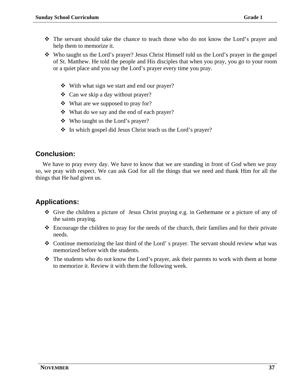- The servant should take the chance to teach those who do not know the Lord's prayer and help them to memorize it.
- Who taught us the Lord's prayer? Jesus Christ Himself told us the Lord's prayer in the gospel of St. Matthew. He told the people and His disciples that when you pray, you go to your room or a quiet place and you say the Lord's prayer every time you pray.
	- With what sign we start and end our prayer?
	- Can we skip a day without prayer?
	- What are we supposed to pray for?
	- What do we say and the end of each prayer?
	- Who taught us the Lord's prayer?
	- $\triangle$  In which gospel did Jesus Christ teach us the Lord's prayer?

## **Conclusion:**

We have to pray every day. We have to know that we are standing in front of God when we pray so, we pray with respect. We can ask God for all the things that we need and thank Him for all the things that He had given us.

- Give the children a picture of Jesus Christ praying e.g. in Gethemane or a picture of any of the saints praying.
- Encourage the children to pray for the needs of the church, their families and for their private needs.
- Continue memorizing the last third of the Lord' s prayer. The servant should review what was memorized before with the students.
- \* The students who do not know the Lord's prayer, ask their parents to work with them at home to memorize it. Review it with them the following week.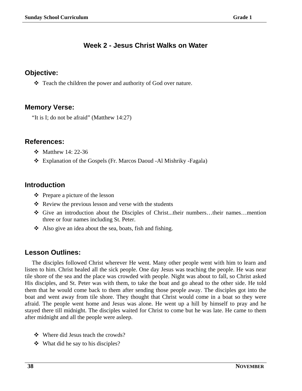# **Week 2 - Jesus Christ Walks on Water**

## **Objective:**

Teach the children the power and authority of God over nature.

#### **Memory Verse:**

"It is I; do not be afraid" (Matthew 14:27)

#### **References:**

- Matthew 14: 22-36
- Explanation of the Gospels (Fr. Marcos Daoud -Al Mishriky -Fagala)

## **Introduction**

- $\triangle$  Prepare a picture of the lesson
- ❖ Review the previous lesson and verse with the students
- Give an introduction about the Disciples of Christ...their numbers…their names…mention three or four names including St. Peter.
- $\triangleleft$  Also give an idea about the sea, boats, fish and fishing.

# **Lesson Outlines:**

The disciples followed Christ wherever He went. Many other people went with him to learn and listen to him. Christ healed all the sick people. One day Jesus was teaching the people. He was near tile shore of the sea and the place was crowded with people. Night was about to fall, so Christ asked His disciples, and St. Peter was with them, to take the boat and go ahead to the other side. He told them that he would come back to them after sending those people away. The disciples got into the boat and went away from tile shore. They thought that Christ would come in a boat so they were afraid. The people went home and Jesus was alone. He went up a hill by himself to pray and he stayed there till midnight. The disciples waited for Christ to come but he was late. He came to them after midnight and all the people were asleep.

- ❖ Where did Jesus teach the crowds?
- $\triangleleft$  What did he say to his disciples?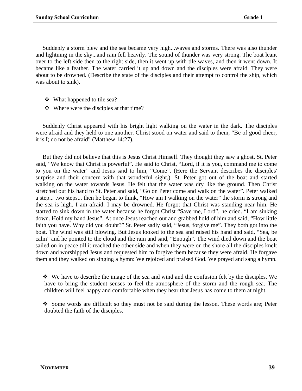Suddenly a storm blew and the sea became very high...waves and storms. There was also thunder and lightning in the sky...and rain fell heavily. The sound of thunder was very strong. The boat leant over to the left side then to the right side, then it went up with tile waves, and then it went down. It became like a feather. The water carried it up and down and the disciples were afraid. They were about to be drowned. (Describe the state of the disciples and their attempt to control the ship, which was about to sink).

- What happened to tile sea?
- $\triangleleft$  Where were the disciples at that time?

Suddenly Christ appeared with his bright light walking on the water in the dark. The disciples were afraid and they held to one another. Christ stood on water and said to them, "Be of good cheer, it is I; do not be afraid" (Matthew 14:27).

But they did not believe that this is Jesus Christ Himself. They thought they saw a ghost. St. Peter said, "We know that Christ is powerful". He said to Christ, "Lord, if it is you, command me to come to you on the water" and Jesus said to him, "Come". (Here the Servant describes the disciples' surprise and their concern with that wonderful sight.). St. Peter got out of the boat and started walking on the water towards Jesus. He felt that the water was dry like the ground. Then Christ stretched out his hand to St. Peter and said, "Go on Peter come and walk on the water". Peter walked a step... two steps... then he began to think, "How am I walking on the water" the storm is strong and the sea is high. I am afraid. I may be drowned. He forgot that Christ was standing near him. He started to sink down in the water because he forgot Christ "Save me, Lord", he cried. "I am sinking down. Hold my hand Jesus". At once Jesus reached out and grabbed hold of him and said, "How little faith you have. Why did you doubt?" St. Peter sadly said, "Jesus, forgive me". They both got into the boat. The wind was still blowing. But Jesus looked to the sea and raised his hand and said, "Sea, be calm" and he pointed to the cloud and the rain and said, "Enough". The wind died down and the boat sailed on in peace till it reached the other side and when they were on the shore all the disciples knelt down and worshipped Jesus and requested him to forgive them because they were afraid. He forgave them and they walked on singing a hymn: We rejoiced and praised God. We prayed and sang a hymn.

 $\mathbf{\hat{P}}$  We have to describe the image of the sea and wind and the confusion felt by the disciples. We have to bring the student senses to feel the atmosphere of the storm and the rough sea. The children will feel happy and comfortable when they hear that Jesus has come to them at night.

Some words are difficult so they must not be said during the lesson. These words are; Peter doubted the faith of the disciples.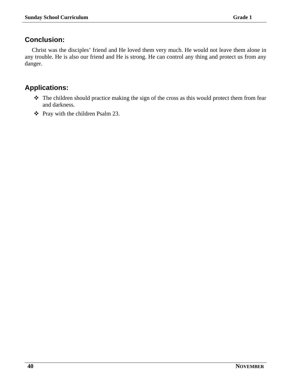# **Conclusion:**

Christ was the disciples' friend and He loved them very much. He would not leave them alone in any trouble. He is also our friend and He is strong. He can control any thing and protect us from any danger.

- \* The children should practice making the sign of the cross as this would protect them from fear and darkness.
- Pray with the children Psalm 23.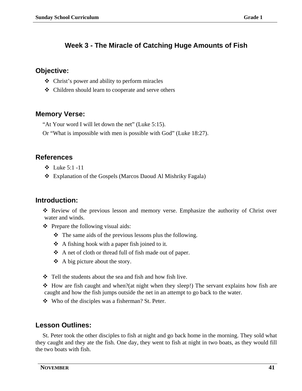# **Week 3 - The Miracle of Catching Huge Amounts of Fish**

#### **Objective:**

- Christ's power and ability to perform miracles
- Children should learn to cooperate and serve others

## **Memory Verse:**

- "At Your word I will let down the net" (Luke 5:15).
- Or "What is impossible with men is possible with God" (Luke 18:27).

## **References**

- $\div$  Luke 5:1 -11
- Explanation of the Gospels (Marcos Daoud Al Mishriky Fagala)

## **Introduction:**

 Review of the previous lesson and memory verse. Emphasize the authority of Christ over water and winds.

- $\triangleleft$  Prepare the following visual aids:
	- $\triangle$  The same aids of the previous lessons plus the following.
	- A fishing hook with a paper fish joined to it.
	- A net of cloth or thread full of fish made out of paper.
	- $\triangleleft$  A big picture about the story.
- Tell the students about the sea and fish and how fish live.

 How are fish caught and when?(at night when they sleep!) The servant explains how fish are caught and how the fish jumps outside the net in an attempt to go back to the water.

• Who of the disciples was a fisherman? St. Peter.

## **Lesson Outlines:**

St. Peter took the other disciples to fish at night and go back home in the morning. They sold what they caught and they ate the fish. One day, they went to fish at night in two boats, as they would fill the two boats with fish.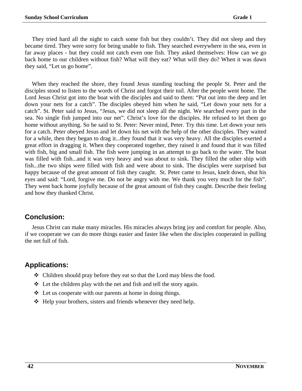They tried hard all the night to catch some fish but they couldn't. They did not sleep and they became tired. They were sorry for being unable to fish. They searched everywhere in the sea, even in far away places - but they could not catch even one fish. They asked themselves: How can we go back home to our children without fish? What will they eat? What will they do? When it was dawn they said, "Let us go home".

When they reached the shore, they found Jesus standing teaching the people St. Peter and the disciples stood to listen to the words of Christ and forgot their toil. After the people went home. The Lord Jesus Christ got into the boat with the disciples and said to them: "Put out into the deep and let down your nets for a catch". The disciples obeyed him when he said, "Let down your nets for a catch". St. Peter said to Jesus, "Jesus, we did not sleep all the night. We searched every part in the sea. No single fish jumped into our net". Christ's love for the disciples. He refused to let them go home without anything. So he said to St. Peter: Never mind, Peter. Try this time. Let down your nets for a catch. Peter obeyed Jesus and let down his net with the help of the other disciples. They waited for a while, then they began to drag it...they found that it was very heavy. All the disciples exerted a great effort in dragging it. When they cooperated together, they raised it and found that it was filled with fish, big and small fish. The fish were jumping in an attempt to go back to the water. The boat was filled with fish...and it was very heavy and was about to sink. They filled the other ship with fish...the two ships were filled with fish and were about to sink. The disciples were surprised but happy because of the great amount of fish they caught. St. Peter came to Jesus, knelt down, shut his eyes and said: "Lord, forgive me. Do not be angry with me. We thank you very much for the fish". They went back home joyfully because of the great amount of fish they caught. Describe their feeling and how they thanked Christ.

## **Conclusion:**

Jesus Christ can make many miracles. His miracles always bring joy and comfort for people. Also, if we cooperate we can do more things easier and faster like when the disciples cooperated in pulling the net full of fish.

- Children should pray before they eat so that the Lord may bless the food.
- $\triangleleft$  Let the children play with the net and fish and tell the story again.
- $\triangleleft$  Let us cooperate with our parents at home in doing things.
- $\triangleleft$  Help your brothers, sisters and friends whenever they need help.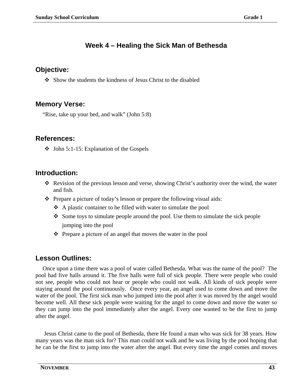# **Week 4 – Healing the Sick Man of Bethesda**

### **Objective:**

 $\triangle$  Show the students the kindness of Jesus Christ to the disabled

## **Memory Verse:**

"Rise, take up your bed, and walk" (John 5:8)

## **References:**

 $\div$  John 5:1-15: Explanation of the Gospels

## **Introduction:**

- $\mathbf{\hat{P}}$  Revision of the previous lesson and verse, showing Christ's authority over the wind, the water and fish.
- $\triangle$  Prepare a picture of today's lesson or prepare the following visual aids:
	- ❖ A plastic container to be filled with water to simulate the pool
	- Some toys to simulate people around the pool. Use them to simulate the sick people jumping into the pool
	- $\triangle$  Prepare a picture of an angel that moves the water in the pool

## **Lesson Outlines:**

Once upon a time there was a pool of water called Bethesda. What was the name of the pool? The pool had five halls around it. The five halls were full of sick people. There were people who could not see, people who could not hear or people who could not walk. All kinds of sick people were staying around the pool continuously. Once every year, an angel used to come down and move the water of the pool. The first sick man who jumped into the pool after it was moved by the angel would become well. All these sick people were waiting for the angel to come down and move the water so they can jump into the pool immediately after the angel. Every one wanted to be the first to jump after the angel.

Jesus Christ came to the pool of Bethesda, there He found a man who was sick for 38 years. How many years was the man sick for? This man could not walk and he was living by the pool hoping that he can be the first to jump into the water after the angel. But every time the angel comes and moves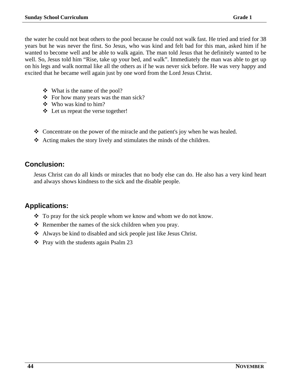the water he could not beat others to the pool because he could not walk fast. He tried and tried for 38 years but he was never the first. So Jesus, who was kind and felt bad for this man, asked him if he wanted to become well and be able to walk again. The man told Jesus that he definitely wanted to be well. So, Jesus told him "Rise, take up your bed, and walk". Immediately the man was able to get up on his legs and walk normal like all the others as if he was never sick before. He was very happy and excited that he became well again just by one word from the Lord Jesus Christ.

- What is the name of the pool?
- $\div$  For how many years was the man sick?
- Who was kind to him?
- Let us repeat the verse together!
- $\bullet$  Concentrate on the power of the miracle and the patient's joy when he was healed.
- $\triangleleft$  Acting makes the story lively and stimulates the minds of the children.

## **Conclusion:**

Jesus Christ can do all kinds or miracles that no body else can do. He also has a very kind heart and always shows kindness to the sick and the disable people.

- To pray for the sick people whom we know and whom we do not know.
- $\triangleleft$  Remember the names of the sick children when you pray.
- Always be kind to disabled and sick people just like Jesus Christ.
- $\div$  Pray with the students again Psalm 23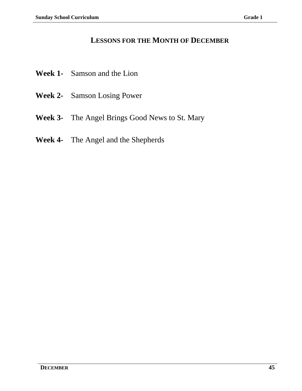# **LESSONS FOR THE MONTH OF DECEMBER**

- **Week 1-** Samson and the Lion
- **Week 2-** Samson Losing Power
- **Week 3-** The Angel Brings Good News to St. Mary
- **Week 4-** The Angel and the Shepherds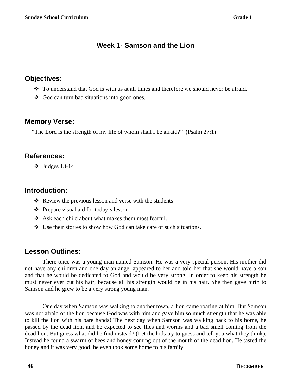# **Week 1- Samson and the Lion**

## **Objectives:**

- $\bullet$  To understand that God is with us at all times and therefore we should never be afraid.
- $\triangleleft$  God can turn bad situations into good ones.

## **Memory Verse:**

"The Lord is the strength of my life of whom shall I be afraid?" (Psalm 27:1)

## **References:**

 $\div$  Judges 13-14

## **Introduction:**

- ❖ Review the previous lesson and verse with the students
- Prepare visual aid for today's lesson
- Ask each child about what makes them most fearful.
- Use their stories to show how God can take care of such situations.

# **Lesson Outlines:**

There once was a young man named Samson. He was a very special person. His mother did not have any children and one day an angel appeared to her and told her that she would have a son and that he would be dedicated to God and would be very strong. In order to keep his strength he must never ever cut his hair, because all his strength would be in his hair. She then gave birth to Samson and he grew to be a very strong young man.

One day when Samson was walking to another town, a lion came roaring at him. But Samson was not afraid of the lion because God was with him and gave him so much strength that he was able to kill the lion with his bare hands! The next day when Samson was walking back to his home, he passed by the dead lion, and he expected to see flies and worms and a bad smell coming from the dead lion. But guess what did he find instead? (Let the kids try to guess and tell you what they think). Instead he found a swarm of bees and honey coming out of the mouth of the dead lion. He tasted the honey and it was very good, he even took some home to his family.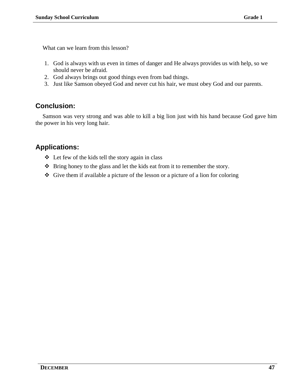What can we learn from this lesson?

- 1. God is always with us even in times of danger and He always provides us with help, so we should never be afraid.
- 2. God always brings out good things even from bad things.
- 3. Just like Samson obeyed God and never cut his hair, we must obey God and our parents.

# **Conclusion:**

Samson was very strong and was able to kill a big lion just with his hand because God gave him the power in his very long hair.

- Let few of the kids tell the story again in class
- Bring honey to the glass and let the kids eat from it to remember the story.
- Give them if available a picture of the lesson or a picture of a lion for coloring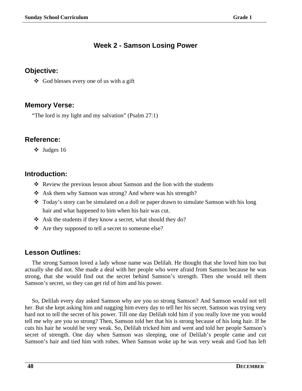# **Week 2 - Samson Losing Power**

## **Objective:**

God blesses every one of us with a gift

#### **Memory Verse:**

"The lord is my light and my salvation" (Psalm 27:1)

#### **Reference:**

Judges 16

#### **Introduction:**

- \* Review the previous lesson about Samson and the lion with the students
- ◆ Ask them why Samson was strong? And where was his strength?
- Today's story can be simulated on a doll or paper drawn to simulate Samson with his long hair and what happened to him when his hair was cut.
- \* Ask the students if they know a secret, what should they do?
- ❖ Are they supposed to tell a secret to someone else?

# **Lesson Outlines:**

The strong Samson loved a lady whose name was Delilah. He thought that she loved him too but actually she did not. She made a deal with her people who were afraid from Samson because he was strong, that she would find out the secret behind Samson's strength. Then she would tell them Samson's secret, so they can get rid of him and his power.

So, Delilah every day asked Samson why are you so strong Samson? And Samson would not tell her. But she kept asking him and nagging him every day to tell her his secret. Samson was trying very hard not to tell the secret of his power. Till one day Delilah told him if you really love me you would tell me why are you so strong? Then, Samson told her that his is strong because of his long hair. If he cuts his hair he would be very weak. So, Delilah tricked him and went and told her people Samson's secret of strength. One day when Samson was sleeping, one of Delilah's people came and cut Samson's hair and tied him with robes. When Samson woke up he was very weak and God has left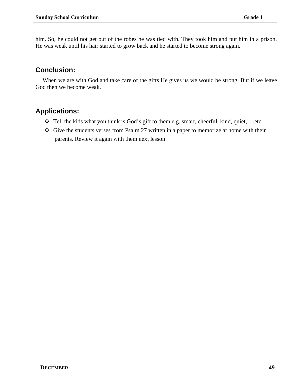him. So, he could not get out of the robes he was tied with. They took him and put him in a prison. He was weak until his hair started to grow back and he started to become strong again.

## **Conclusion:**

When we are with God and take care of the gifts He gives us we would be strong. But if we leave God then we become weak.

- Tell the kids what you think is God's gift to them e.g. smart, cheerful, kind, quiet,….etc
- $\cdot$  Give the students verses from Psalm 27 written in a paper to memorize at home with their parents. Review it again with them next lesson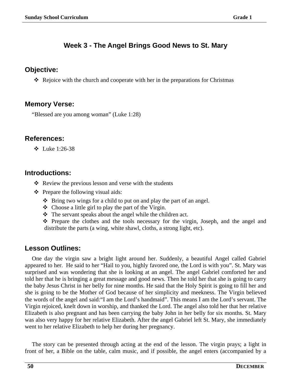# **Week 3 - The Angel Brings Good News to St. Mary**

### **Objective:**

 $\triangle$  Rejoice with the church and cooperate with her in the preparations for Christmas

## **Memory Verse:**

"Blessed are you among woman" (Luke 1:28)

## **References:**

 $\div$  Luke 1:26-38

#### **Introductions:**

- $\triangle$  Review the previous lesson and verse with the students
- $\triangleleft$  Prepare the following visual aids:
	- $\triangleleft$  Bring two wings for a child to put on and play the part of an angel.
	- $\triangleleft$  Choose a little girl to play the part of the Virgin.
	- $\triangle$  The servant speaks about the angel while the children act.
	- \* Prepare the clothes and the tools necessary for the virgin, Joseph, and the angel and distribute the parts (a wing, white shawl, cloths, a strong light, etc).

## **Lesson Outlines:**

One day the virgin saw a bright light around her. Suddenly, a beautiful Angel called Gabriel appeared to her. He said to her "Hail to you, highly favored one, the Lord is with you". St. Mary was surprised and was wondering that she is looking at an angel. The angel Gabriel comforted her and told her that he is bringing a great message and good news. Then he told her that she is going to carry the baby Jesus Christ in her belly for nine months. He said that the Holy Spirit is going to fill her and she is going to be the Mother of God because of her simplicity and meekness. The Virgin believed the words of the angel and said:"I am the Lord's handmaid". This means I am the Lord's servant. The Virgin rejoiced, knelt down in worship, and thanked the Lord. The angel also told her that her relative Elizabeth is also pregnant and has been carrying the baby John in her belly for six months. St. Mary was also very happy for her relative Elizabeth. After the angel Gabriel left St. Mary, she immediately went to her relative Elizabeth to help her during her pregnancy.

The story can be presented through acting at the end of the lesson. The virgin prays; a light in front of her, a Bible on the table, calm music, and if possible, the angel enters (accompanied by a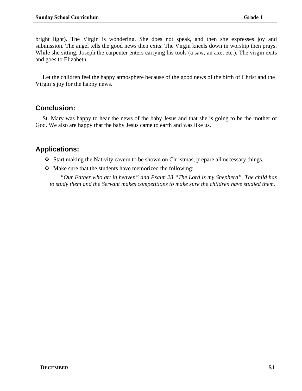bright light). The Virgin is wondering. She does not speak, and then she expresses joy and submission. The angel tells the good news then exits. The Virgin kneels down in worship then prays. While she sitting, Joseph the carpenter enters carrying his tools (a saw, an axe, etc.). The virgin exits and goes to Elizabeth.

Let the children feel the happy atmosphere because of the good news of the birth of Christ and the Virgin's joy for the happy news.

## **Conclusion:**

St. Mary was happy to hear the news of the baby Jesus and that she is going to be the mother of God. We also are happy that the baby Jesus came to earth and was like us.

## **Applications:**

- Start making the Nativity cavern to be shown on Christmas, prepare all necessary things.
- Make sure that the students have memorized the following:

*"Our Father who art in heaven" and Psalm 23 "The Lord is my Shepherd". The child has to study them and the Servant makes competitions to make sure the children have studied them.*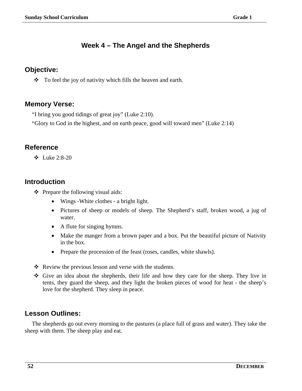# **Week 4 – The Angel and the Shepherds**

## **Objective:**

 $\bullet$  To feel the joy of nativity which fills the heaven and earth.

## **Memory Verse:**

"I bring you good tidings of great joy" (Luke 2:10).

"Glory to God in the highest, and on earth peace, good will toward men" (Luke 2:14)

# **Reference**

Luke 2:8-20

# **Introduction**

- $\triangleleft$  Prepare the following visual aids:
	- Wings White clothes a bright light.
	- Pictures of sheep or models of sheep. The Shepherd's staff, broken wood, a jug of water.
	- A flute for singing hymns.
	- Make the manger from a brown paper and a box. Put the beautiful picture of Nativity in the box.
	- Prepare the procession of the feast (roses, candles, white shawls).
- $\triangle$  Review the previous lesson and verse with the students.
- $\div$  Give an idea about the shepherds, their life and how they care for the sheep. They live in tents, they guard the sheep, and they light the broken pieces of wood for heat - the sheep's love for the shepherd. They sleep in peace.

# **Lesson Outlines:**

The shepherds go out every morning to the pastures (a place full of grass and water). They take the sheep with them. The sheep play and eat.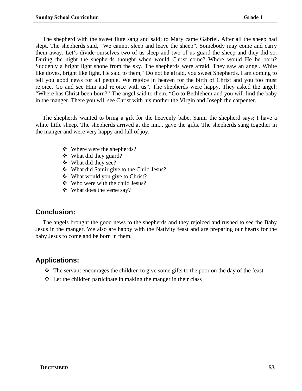The shepherd with the sweet flute sang and said: to Mary came Gabriel. After all the sheep had slept. The shepherds said, "We cannot sleep and leave the sheep". Somebody may come and carry them away. Let's divide ourselves two of us sleep and two of us guard the sheep and they did so. During the night the shepherds thought when would Christ come? Where would He be born? Suddenly a bright light shone from the sky. The shepherds were afraid. They saw an angel. White like doves, bright like light. He said to them, "Do not be afraid, you sweet Shepherds. I am coming to tell you good news for all people. We rejoice in heaven for the birth of Christ and you too must rejoice. Go and see Him and rejoice with us". The shepherds were happy. They asked the angel: "Where has Christ been born?" The angel said to them, "Go to Bethlehem and you will find the baby in the manger. There you will see Christ with his mother the Virgin and Joseph the carpenter.

The shepherds wanted to bring a gift for the heavenly babe. Samir the shepherd says; I have a white little sheep. The shepherds arrived at the inn... gave the gifts. The shepherds sang together in the manger and were very happy and full of joy.

- Where were the shepherds?
- What did they guard?
- What did they see?
- What did Samir give to the Child Jesus?
- What would you give to Christ?
- Who were with the child Jesus?
- What does the verse say?

#### **Conclusion:**

The angels brought the good news to the shepherds and they rejoiced and rushed to see the Baby Jesus in the manger. We also are happy with the Nativity feast and are preparing our hearts for the baby Jesus to come and be born in them.

- $\mathbf{\hat{P}}$  The servant encourages the children to give some gifts to the poor on the day of the feast.
- $\triangle$  Let the children participate in making the manger in their class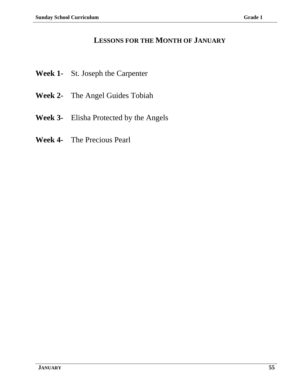# **LESSONS FOR THE MONTH OF JANUARY**

- **Week 1-** St. Joseph the Carpenter
- **Week 2-** The Angel Guides Tobiah
- **Week 3-** Elisha Protected by the Angels
- **Week 4-** The Precious Pearl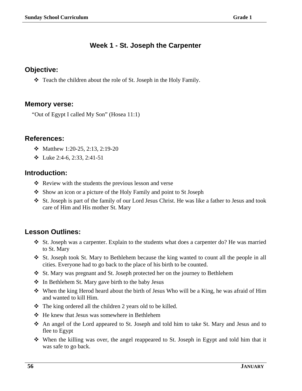# **Week 1 - St. Joseph the Carpenter**

## **Objective:**

Teach the children about the role of St. Joseph in the Holy Family.

#### **Memory verse:**

"Out of Egypt I called My Son" (Hosea 11:1)

# **References:**

- $\div$  Matthew 1:20-25, 2:13, 2:19-20
- $\bullet$  Luke 2:4-6, 2:33, 2:41-51

## **Introduction:**

- $\triangle$  Review with the students the previous lesson and verse
- Show an icon or a picture of the Holy Family and point to St Joseph
- St. Joseph is part of the family of our Lord Jesus Christ. He was like a father to Jesus and took care of Him and His mother St. Mary

# **Lesson Outlines:**

- $\div$  St. Joseph was a carpenter. Explain to the students what does a carpenter do? He was married to St. Mary
- $\div$  St. Joseph took St. Mary to Bethlehem because the king wanted to count all the people in all cities. Everyone had to go back to the place of his birth to be counted.
- $\div$  St. Mary was pregnant and St. Joseph protected her on the journey to Bethlehem
- ❖ In Bethlehem St. Mary gave birth to the baby Jesus
- When the king Herod heard about the birth of Jesus Who will be a King, he was afraid of Him and wanted to kill Him.
- The king ordered all the children 2 years old to be killed.
- ❖ He knew that Jesus was somewhere in Bethlehem
- An angel of the Lord appeared to St. Joseph and told him to take St. Mary and Jesus and to flee to Egypt
- When the killing was over, the angel reappeared to St. Joseph in Egypt and told him that it was safe to go back.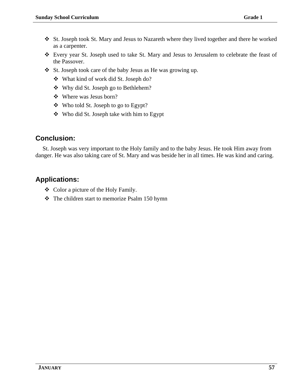- St. Joseph took St. Mary and Jesus to Nazareth where they lived together and there he worked as a carpenter.
- Every year St. Joseph used to take St. Mary and Jesus to Jerusalem to celebrate the feast of the Passover.
- St. Joseph took care of the baby Jesus as He was growing up.
	- What kind of work did St. Joseph do?
	- Why did St. Joseph go to Bethlehem?
	- Where was Jesus born?
	- Who told St. Joseph to go to Egypt?
	- Who did St. Joseph take with him to Egypt

# **Conclusion:**

St. Joseph was very important to the Holy family and to the baby Jesus. He took Him away from danger. He was also taking care of St. Mary and was beside her in all times. He was kind and caring.

- Color a picture of the Holy Family.
- $\div$  The children start to memorize Psalm 150 hymn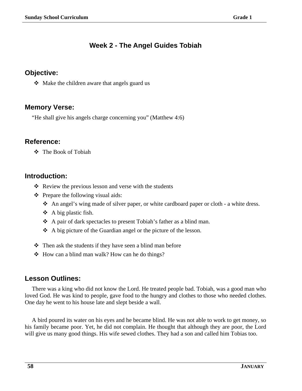# **Week 2 - The Angel Guides Tobiah**

## **Objective:**

 $\triangleleft$  Make the children aware that angels guard us

#### **Memory Verse:**

"He shall give his angels charge concerning you" (Matthew 4:6)

#### **Reference:**

The Book of Tobiah

#### **Introduction:**

- $\triangle$  Review the previous lesson and verse with the students
- $\triangleleft$  Prepare the following visual aids:
	- An angel's wing made of silver paper, or white cardboard paper or cloth a white dress.
	- A big plastic fish.
	- A pair of dark spectacles to present Tobiah's father as a blind man.
	- A big picture of the Guardian angel or the picture of the lesson.
- Then ask the students if they have seen a blind man before
- $\triangleleft$  How can a blind man walk? How can he do things?

## **Lesson Outlines:**

There was a king who did not know the Lord. He treated people bad. Tobiah, was a good man who loved God. He was kind to people, gave food to the hungry and clothes to those who needed clothes. One day he went to his house late and slept beside a wall.

A bird poured its water on his eyes and he became blind. He was not able to work to get money, so his family became poor. Yet, he did not complain. He thought that although they are poor, the Lord will give us many good things. His wife sewed clothes. They had a son and called him Tobias too.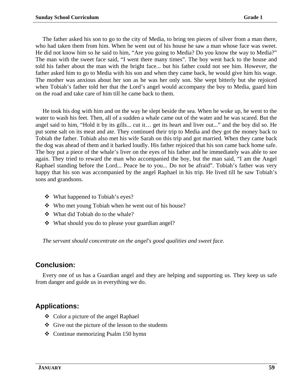The father asked his son to go to the city of Media, to bring ten pieces of silver from a man there, who had taken them from him. When he went out of his house he saw a man whose face was sweet. He did not know him so he said to him, "Are you going to Media? Do you know the way to Media?" The man with the sweet face said, "I went there many times". The boy went back to the house and told his father about the man with the bright face... but his father could not see him. However, the father asked him to go to Media with his son and when they came back, he would give him his wage. The mother was anxious about her son as he was her only son. She wept bitterly but she rejoiced when Tobiah's father told her that the Lord's angel would accompany the boy to Media, guard him on the road and take care of him till he came back to them.

He took his dog with him and on the way he slept beside the sea. When he woke up, he went to the water to wash his feet. Then, all of a sudden a whale came out of the water and he was scared. But the angel said to him, "Hold it by its gills... cut it… get its heart and liver out..." and the boy did so. He put some salt on its meat and ate. They continued their trip to Media and they got the money back to Tobiah the father. Tobiah also met his wife Sarah on this trip and got married. When they came back the dog was ahead of them and it barked loudly. His father rejoiced that his son came back home safe. The boy put a piece of the whale's liver on the eyes of his father and he immediately was able to see again. They tried to reward the man who accompanied the boy, but the man said, "I am the Angel Raphael standing before the Lord... Peace be to you... Do not be afraid". Tobiah's father was very happy that his son was accompanied by the angel Raphael in his trip. He lived till he saw Tobiah's sons and grandsons.

- What happened to Tobiah's eyes?
- Who met young Tobiah when he went out of his house?
- What did Tobiah do to the whale?
- What should you do to please your guardian angel?

*The servant should concentrate on the angel's good qualities and sweet face.* 

## **Conclusion:**

Every one of us has a Guardian angel and they are helping and supporting us. They keep us safe from danger and guide us in everything we do.

- ❖ Color a picture of the angel Raphael
- $\triangleleft$  Give out the picture of the lesson to the students
- Continue memorizing Psalm 150 hymn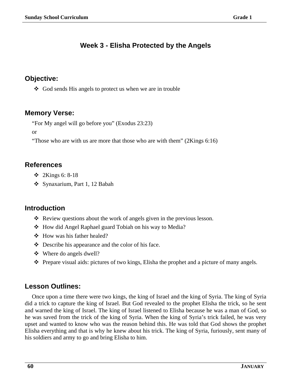# **Week 3 - Elisha Protected by the Angels**

## **Objective:**

God sends His angels to protect us when we are in trouble

## **Memory Verse:**

"For My angel will go before you" (Exodus 23:23)

or

"Those who are with us are more that those who are with them" (2Kings 6:16)

# **References**

- $\div$  2Kings 6: 8-18
- Synaxarium, Part 1, 12 Babah

## **Introduction**

- Review questions about the work of angels given in the previous lesson.
- How did Angel Raphael guard Tobiah on his way to Media?
- How was his father healed?
- $\triangle$  Describe his appearance and the color of his face.
- ❖ Where do angels dwell?
- $\mathbf{\hat{P}}$  Prepare visual aids: pictures of two kings, Elisha the prophet and a picture of many angels.

# **Lesson Outlines:**

Once upon a time there were two kings, the king of Israel and the king of Syria. The king of Syria did a trick to capture the king of Israel. But God revealed to the prophet Elisha the trick, so he sent and warned the king of Israel. The king of Israel listened to Elisha because he was a man of God, so he was saved from the trick of the king of Syria. When the king of Syria's trick failed, he was very upset and wanted to know who was the reason behind this. He was told that God shows the prophet Elisha everything and that is why he knew about his trick. The king of Syria, furiously, sent many of his soldiers and army to go and bring Elisha to him.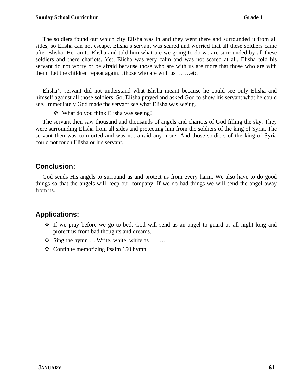The soldiers found out which city Elisha was in and they went there and surrounded it from all sides, so Elisha can not escape. Elisha's servant was scared and worried that all these soldiers came after Elisha. He ran to Elisha and told him what are we going to do we are surrounded by all these soldiers and there chariots. Yet, Elisha was very calm and was not scared at all. Elisha told his servant do not worry or be afraid because those who are with us are more that those who are with them. Let the children repeat again…those who are with us …….etc.

Elisha's servant did not understand what Elisha meant because he could see only Elisha and himself against all those soldiers. So, Elisha prayed and asked God to show his servant what he could see. Immediately God made the servant see what Elisha was seeing.

 $\bullet\bullet\text{ What do you think Elisha was seeing?}$ 

The servant then saw thousand and thousands of angels and chariots of God filling the sky. They were surrounding Elisha from all sides and protecting him from the soldiers of the king of Syria. The servant then was comforted and was not afraid any more. And those soldiers of the king of Syria could not touch Elisha or his servant.

### **Conclusion:**

God sends His angels to surround us and protect us from every harm. We also have to do good things so that the angels will keep our company. If we do bad things we will send the angel away from us.

- $\div$  If we pray before we go to bed, God will send us an angel to guard us all night long and protect us from bad thoughts and dreams.
- $\bullet$  Sing the hymn ....Write, white, white as  $\dots$
- $\triangleleft$  Continue memorizing Psalm 150 hymn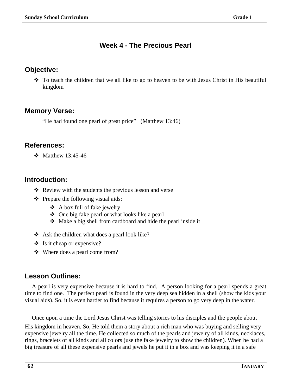# **Week 4 - The Precious Pearl**

## **Objective:**

\* To teach the children that we all like to go to heaven to be with Jesus Christ in His beautiful kingdom

### **Memory Verse:**

"He had found one pearl of great price" (Matthew 13:46)

### **References:**

Matthew 13:45-46

# **Introduction:**

- $\triangle$  Review with the students the previous lesson and verse
- $\triangleleft$  Prepare the following visual aids:
	- $\triangle$  A box full of fake jewelry
	- One big fake pearl or what looks like a pearl
	- $\triangleleft$  Make a big shell from cardboard and hide the pearl inside it
- $\triangleleft$  Ask the children what does a pearl look like?
- $\cdot \cdot$  Is it cheap or expensive?
- Where does a pearl come from?

# **Lesson Outlines:**

A pearl is very expensive because it is hard to find. A person looking for a pearl spends a great time to find one. The perfect pearl is found in the very deep sea hidden in a shell (show the kids your visual aids). So, it is even harder to find because it requires a person to go very deep in the water.

Once upon a time the Lord Jesus Christ was telling stories to his disciples and the people about

His kingdom in heaven. So, He told them a story about a rich man who was buying and selling very expensive jewelry all the time. He collected so much of the pearls and jewelry of all kinds, necklaces, rings, bracelets of all kinds and all colors (use the fake jewelry to show the children). When he had a big treasure of all these expensive pearls and jewels he put it in a box and was keeping it in a safe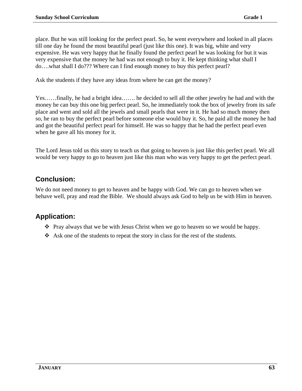place. But he was still looking for the perfect pearl. So, he went everywhere and looked in all places till one day he found the most beautiful pearl (just like this one). It was big, white and very expensive. He was very happy that he finally found the perfect pearl he was looking for but it was very expensive that the money he had was not enough to buy it. He kept thinking what shall I do….what shall I do??? Where can I find enough money to buy this perfect pearl?

Ask the students if they have any ideas from where he can get the money?

Yes……finally, he had a bright idea……. he decided to sell all the other jewelry he had and with the money he can buy this one big perfect pearl. So, he immediately took the box of jewelry from its safe place and went and sold all the jewels and small pearls that were in it. He had so much money then so, he ran to buy the perfect pearl before someone else would buy it. So, he paid all the money he had and got the beautiful perfect pearl for himself. He was so happy that he had the perfect pearl even when he gave all his money for it.

The Lord Jesus told us this story to teach us that going to heaven is just like this perfect pearl. We all would be very happy to go to heaven just like this man who was very happy to get the perfect pearl.

# **Conclusion:**

We do not need money to get to heaven and be happy with God. We can go to heaven when we behave well, pray and read the Bible. We should always ask God to help us be with Him in heaven.

- $\hat{\mathbf{v}}$  Pray always that we be with Jesus Christ when we go to heaven so we would be happy.
- $\triangleleft$  Ask one of the students to repeat the story in class for the rest of the students.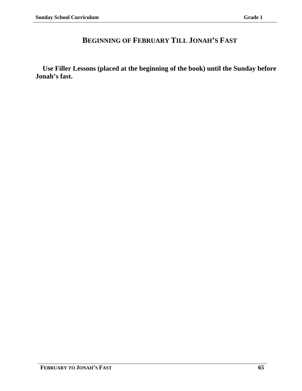# **BEGINNING OF FEBRUARY TILL JONAH'S FAST**

**Use Filler Lessons (placed at the beginning of the book) until the Sunday before Jonah's fast.**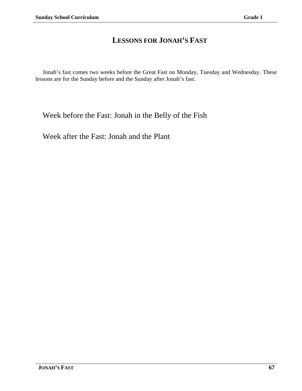# **LESSONS FOR JONAH'S FAST**

Jonah's fast comes two weeks before the Great Fast on Monday, Tuesday and Wednesday. These lessons are for the Sunday before and the Sunday after Jonah's fast.

Week before the Fast: Jonah in the Belly of the Fish

Week after the Fast: Jonah and the Plant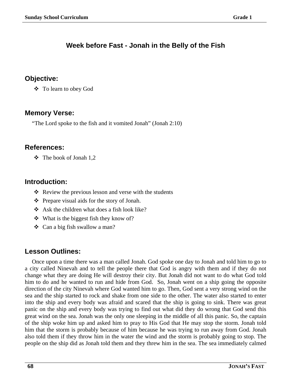# **Week before Fast - Jonah in the Belly of the Fish**

### **Objective:**

To learn to obey God

#### **Memory Verse:**

"The Lord spoke to the fish and it vomited Jonah" (Jonah 2:10)

#### **References:**

 $\div$  The book of Jonah 1,2

#### **Introduction:**

- $\triangleleft$  Review the previous lesson and verse with the students
- $\triangleleft$  Prepare visual aids for the story of Jonah.
- $\triangle$  Ask the children what does a fish look like?
- $\triangleleft$  What is the biggest fish they know of?
- $\triangleleft$  Can a big fish swallow a man?

### **Lesson Outlines:**

Once upon a time there was a man called Jonah. God spoke one day to Jonah and told him to go to a city called Ninevah and to tell the people there that God is angry with them and if they do not change what they are doing He will destroy their city. But Jonah did not want to do what God told him to do and he wanted to run and hide from God. So, Jonah went on a ship going the opposite direction of the city Ninevah where God wanted him to go. Then, God sent a very strong wind on the sea and the ship started to rock and shake from one side to the other. The water also started to enter into the ship and every body was afraid and scared that the ship is going to sink. There was great panic on the ship and every body was trying to find out what did they do wrong that God send this great wind on the sea. Jonah was the only one sleeping in the middle of all this panic. So, the captain of the ship woke him up and asked him to pray to His God that He may stop the storm. Jonah told him that the storm is probably because of him because he was trying to run away from God. Jonah also told them if they throw him in the water the wind and the storm is probably going to stop. The people on the ship did as Jonah told them and they threw him in the sea. The sea immediately calmed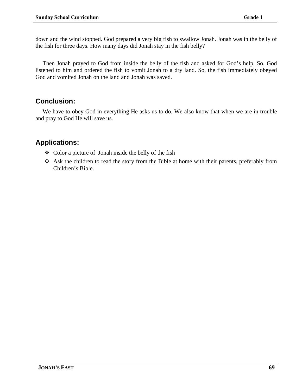down and the wind stopped. God prepared a very big fish to swallow Jonah. Jonah was in the belly of the fish for three days. How many days did Jonah stay in the fish belly?

Then Jonah prayed to God from inside the belly of the fish and asked for God's help. So, God listened to him and ordered the fish to vomit Jonah to a dry land. So, the fish immediately obeyed God and vomited Jonah on the land and Jonah was saved.

### **Conclusion:**

We have to obey God in everything He asks us to do. We also know that when we are in trouble and pray to God He will save us.

- Color a picture of Jonah inside the belly of the fish
- Ask the children to read the story from the Bible at home with their parents, preferably from Children's Bible.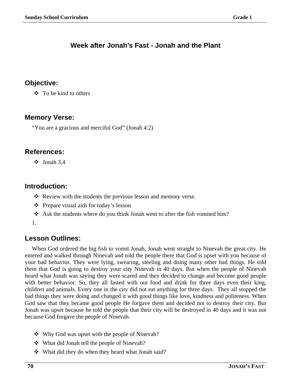# **Week after Jonah's Fast - Jonah and the Plant**

# **Objective:**

To be kind to others

# **Memory Verse:**

"You are a gracious and merciful God" (Jonah 4:2)

# **References:**

 $\div$  Jonah 3.4

### **Introduction:**

- Review with the students the previous lesson and memory verse.
- $\triangle$  Prepare visual aids for today's lesson
- Ask the students where do you think Jonah went to after the fish vomited him?

1.

# **Lesson Outlines:**

When God ordered the big fish to vomit Jonah, Jonah went straight to Ninevah the great city. He entered and walked through Ninevah and told the people there that God is upset with you because of your bad behavior. They were lying, swearing, steeling and doing many other bad things. He told them that God is going to destroy your city Ninevah in 40 days. But when the people of Ninevah heard what Jonah was saying they were scared and they decided to change and become good people with better behavior. So, they all fasted with out food and drink for three days even their king, children and animals. Every one in the city did not eat anything for three days. They all stopped the bad things they were doing and changed it with good things like love, kindness and politeness. When God saw that they became good people He forgave them and decided not to destroy their city. But Jonah was upset because he told the people that their city will be destroyed in 40 days and it was not because God forgave the people of Ninevah.

- ❖ Why God was upset with the people of Ninevah?
- ❖ What did Jonah tell the people of Ninevah?
- What did they do when they heard what Jonah said?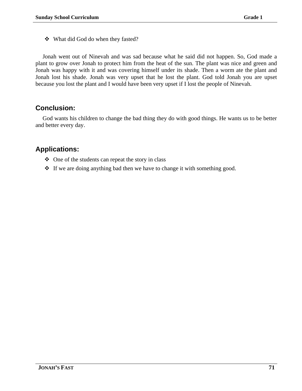What did God do when they fasted?

Jonah went out of Ninevah and was sad because what he said did not happen. So, God made a plant to grow over Jonah to protect him from the heat of the sun. The plant was nice and green and Jonah was happy with it and was covering himself under its shade. Then a worm ate the plant and Jonah lost his shade. Jonah was very upset that he lost the plant. God told Jonah you are upset because you lost the plant and I would have been very upset if I lost the people of Ninevah.

### **Conclusion:**

God wants his children to change the bad thing they do with good things. He wants us to be better and better every day.

- $\triangleleft$  One of the students can repeat the story in class
- If we are doing anything bad then we have to change it with something good.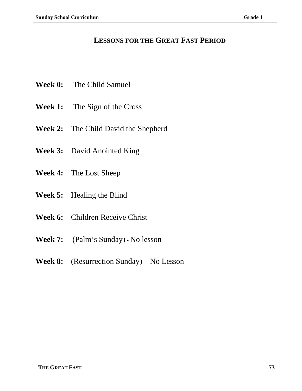# **LESSONS FOR THE GREAT FAST PERIOD**

- **Week 0:** The Child Samuel
- **Week 1:** The Sign of the Cross
- **Week 2:** The Child David the Shepherd
- **Week 3:** David Anointed King
- **Week 4:** The Lost Sheep
- **Week 5:** Healing the Blind
- **Week 6:** Children Receive Christ
- **Week 7:** (Palm's Sunday) No lesson
- **Week 8:** (Resurrection Sunday) No Lesson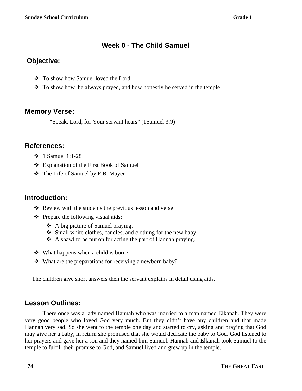# **Week 0 - The Child Samuel**

#### **Objective:**

- To show how Samuel loved the Lord,
- $\div$  To show how he always prayed, and how honestly he served in the temple

### **Memory Verse:**

"Speak, Lord, for Your servant hears" (1Samuel 3:9)

### **References:**

- $\div$  1 Samuel 1:1-28
- Explanation of the First Book of Samuel
- The Life of Samuel by F.B. Mayer

### **Introduction:**

- $\triangle$  Review with the students the previous lesson and verse
- $\triangleleft$  Prepare the following visual aids:
	- ❖ A big picture of Samuel praying.
	- $\div$  Small white clothes, candles, and clothing for the new baby.
	- $\triangle$  A shawl to be put on for acting the part of Hannah praying.
- $\triangleleft$  What happens when a child is born?
- $\triangleleft$  What are the preparations for receiving a newborn baby?

The children give short answers then the servant explains in detail using aids.

# **Lesson Outlines:**

There once was a lady named Hannah who was married to a man named Elkanah. They were very good people who loved God very much. But they didn't have any children and that made Hannah very sad. So she went to the temple one day and started to cry, asking and praying that God may give her a baby, in return she promised that she would dedicate the baby to God. God listened to her prayers and gave her a son and they named him Samuel. Hannah and Elkanah took Samuel to the temple to fulfill their promise to God, and Samuel lived and grew up in the temple.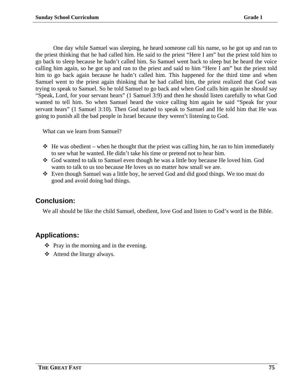One day while Samuel was sleeping, he heard someone call his name, so he got up and ran to the priest thinking that he had called him. He said to the priest "Here I am" but the priest told him to go back to sleep because he hadn't called him. So Samuel went back to sleep but he heard the voice calling him again, so he got up and ran to the priest and said to him "Here I am" but the priest told him to go back again because he hadn't called him. This happened for the third time and when Samuel went to the priest again thinking that he had called him, the priest realized that God was trying to speak to Samuel. So he told Samuel to go back and when God calls him again he should say "Speak, Lord, for your servant hears" (1 Samuel 3:9) and then he should listen carefully to what God wanted to tell him. So when Samuel heard the voice calling him again he said "Speak for your servant hears" (1 Samuel 3:10). Then God started to speak to Samuel and He told him that He was going to punish all the bad people in Israel because they weren't listening to God.

What can we learn from Samuel?

- $\div$  He was obedient when he thought that the priest was calling him, he ran to him immediately to see what he wanted. He didn't take his time or pretend not to hear him.
- God wanted to talk to Samuel even though he was a little boy because He loved him. God wants to talk to us too because He loves us no matter how small we are.
- Even though Samuel was a little boy, he served God and did good things. We too must do good and avoid doing bad things.

#### **Conclusion:**

We all should be like the child Samuel, obedient, love God and listen to God's word in the Bible.

- $\triangleleft$  Pray in the morning and in the evening.
- Attend the liturgy always.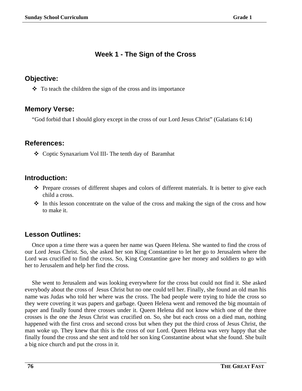# **Week 1 - The Sign of the Cross**

# **Objective:**

 $\cdot \cdot$  To teach the children the sign of the cross and its importance

### **Memory Verse:**

"God forbid that I should glory except in the cross of our Lord Jesus Christ" (Galatians 6:14)

### **References:**

Coptic Synaxarium Vol III- The tenth day of Baramhat

# **Introduction:**

- $\hat{\mathbf{v}}$  Prepare crosses of different shapes and colors of different materials. It is better to give each child a cross.
- $\cdot$  In this lesson concentrate on the value of the cross and making the sign of the cross and how to make it.

# **Lesson Outlines:**

Once upon a time there was a queen her name was Queen Helena. She wanted to find the cross of our Lord Jesus Christ. So, she asked her son King Constantine to let her go to Jerusalem where the Lord was crucified to find the cross. So, King Constantine gave her money and soldiers to go with her to Jerusalem and help her find the cross.

She went to Jerusalem and was looking everywhere for the cross but could not find it. She asked everybody about the cross of Jesus Christ but no one could tell her. Finally, she found an old man his name was Judas who told her where was the cross. The bad people were trying to hide the cross so they were covering it was papers and garbage. Queen Helena went and removed the big mountain of paper and finally found three crosses under it. Queen Helena did not know which one of the three crosses is the one the Jesus Christ was crucified on. So, she but each cross on a died man, nothing happened with the first cross and second cross but when they put the third cross of Jesus Christ, the man woke up. They knew that this is the cross of our Lord. Queen Helena was very happy that she finally found the cross and she sent and told her son king Constantine about what she found. She built a big nice church and put the cross in it.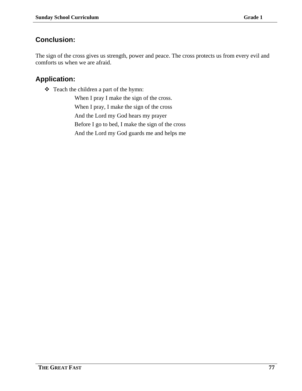# **Conclusion:**

The sign of the cross gives us strength, power and peace. The cross protects us from every evil and comforts us when we are afraid.

# **Application:**

\* Teach the children a part of the hymn:

When I pray I make the sign of the cross. When I pray, I make the sign of the cross And the Lord my God hears my prayer Before I go to bed, I make the sign of the cross And the Lord my God guards me and helps me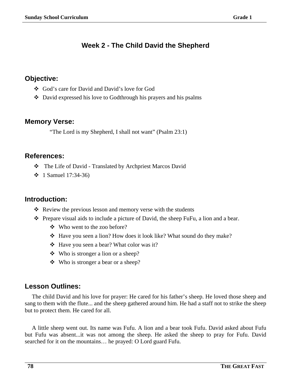# **Week 2 - The Child David the Shepherd**

## **Objective:**

- God's care for David and David's love for God
- David expressed his love to Godthrough his prayers and his psalms

#### **Memory Verse:**

"The Lord is my Shepherd, I shall not want" (Psalm 23:1)

#### **References:**

- The Life of David Translated by Archpriest Marcos David
- $\div$  1 Samuel 17:34-36)

### **Introduction:**

- $\triangle$  Review the previous lesson and memory verse with the students
- $\hat{\mathbf{v}}$  Prepare visual aids to include a picture of David, the sheep FuFu, a lion and a bear.
	- Who went to the zoo before?
	- Have you seen a lion? How does it look like? What sound do they make?
	- Have you seen a bear? What color was it?
	- Who is stronger a lion or a sheep?
	- Who is stronger a bear or a sheep?

### **Lesson Outlines:**

The child David and his love for prayer: He cared for his father's sheep. He loved those sheep and sang to them with the flute... and the sheep gathered around him. He had a staff not to strike the sheep but to protect them. He cared for all.

A little sheep went out. Its name was Fufu. A lion and a bear took Fufu. David asked about Fufu but Fufu was absent...it was not among the sheep. He asked the sheep to pray for Fufu. David searched for it on the mountains… he prayed: O Lord guard Fufu.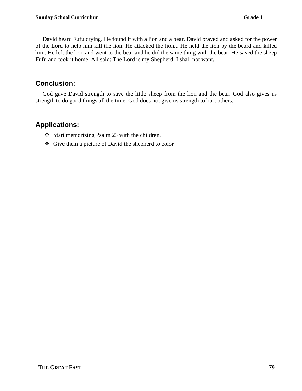David heard Fufu crying. He found it with a lion and a bear. David prayed and asked for the power of the Lord to help him kill the lion. He attacked the lion... He held the lion by the beard and killed him. He left the lion and went to the bear and he did the same thing with the bear. He saved the sheep Fufu and took it home. All said: The Lord is my Shepherd, I shall not want.

# **Conclusion:**

God gave David strength to save the little sheep from the lion and the bear. God also gives us strength to do good things all the time. God does not give us strength to hurt others.

- Start memorizing Psalm 23 with the children.
- $\triangleleft$  Give them a picture of David the shepherd to color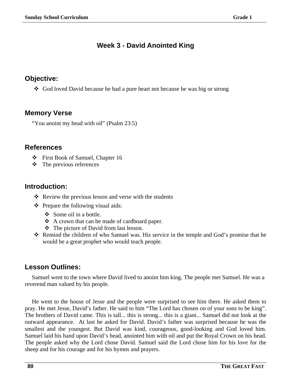# **Week 3 - David Anointed King**

# **Objective:**

God loved David because he had a pure heart not because he was big or strong

# **Memory Verse**

"You anoint my head with oil" (Psalm 23:5)

# **References**

- First Book of Samuel, Chapter 16
- $\div$  The previous references

# **Introduction:**

- $\triangle$  Review the previous lesson and verse with the students
- $\triangleleft$  Prepare the following visual aids:
	- Some oil in a bottle.
	- \* A crown that can be made of cardboard paper.
	- The picture of David from last lesson.
- Remind the children of who Samuel was. His service in the temple and God's promise that he would be a great prophet who would teach people.

# **Lesson Outlines:**

Samuel went to the town where David lived to anoint him king. The people met Samuel. He was a reverend man valued by his people.

He went to the house of Jesse and the people were surprised to see him there. He asked them to pray. He met Jesse, David's father. He said to him "The Lord has chosen on of your sons to be king". The brothers of David came. This is tall... this is strong... this is a giant... Samuel did not look at the outward appearance. At last he asked for David. David's father was surprised because he was the smallest and the youngest. But David was kind, courageous, good-looking and God loved him. Samuel laid his hand upon David's head, anointed him with oil and put the Royal Crown on his head. The people asked why the Lord chose David. Samuel said the Lord chose him for his love for the sheep and for his courage and for his hymns and prayers.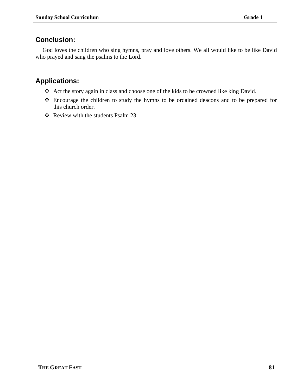# **Conclusion:**

God loves the children who sing hymns, pray and love others. We all would like to be like David who prayed and sang the psalms to the Lord.

- Act the story again in class and choose one of the kids to be crowned like king David.
- Encourage the children to study the hymns to be ordained deacons and to be prepared for this church order.
- $\div$  Review with the students Psalm 23.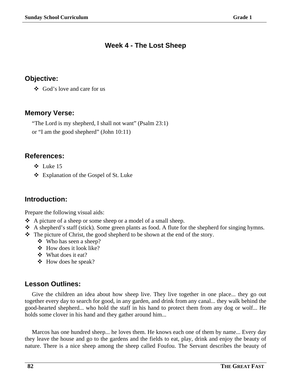# **Week 4 - The Lost Sheep**

# **Objective:**

God's love and care for us

#### **Memory Verse:**

"The Lord is my shepherd, I shall not want" (Psalm 23:1)

or "I am the good shepherd" (John 10:11)

### **References:**

- $\div$  Luke 15
- Explanation of the Gospel of St. Luke

# **Introduction:**

Prepare the following visual aids:

- $\triangle$  A picture of a sheep or some sheep or a model of a small sheep.
- A shepherd's staff (stick). Some green plants as food. A flute for the shepherd for singing hymns.
- $\cdot \cdot$  The picture of Christ, the good shepherd to be shown at the end of the story.
	- Who has seen a sheep?
	- $\div$  How does it look like?
	- What does it eat?
	- How does he speak?

### **Lesson Outlines:**

Give the children an idea about how sheep live. They live together in one place... they go out together every day to search for good, in any garden, and drink from any canal... they walk behind the good-hearted shepherd... who hold the staff in his hand to protect them from any dog or wolf... He holds some clover in his hand and they gather around him...

Marcos has one hundred sheep... he loves them. He knows each one of them by name... Every day they leave the house and go to the gardens and the fields to eat, play, drink and enjoy the beauty of nature. There is a nice sheep among the sheep called Foufou. The Servant describes the beauty of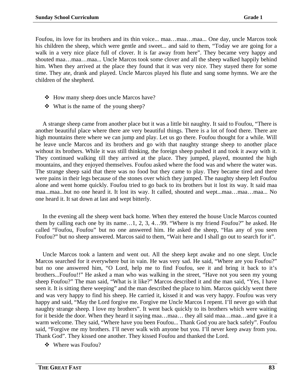Foufou, its love for its brothers and its thin voice... maa…maa…maa... One day, uncle Marcos took his children the sheep, which were gentle and sweet... and said to them, "Today we are going for a walk in a very nice place full of clover. It is far away from here". They became very happy and shouted maa...maa...maa... Uncle Marcos took some clover and all the sheep walked happily behind him. When they arrived at the place they found that it was very nice. They stayed there for some time. They ate, drank and played. Uncle Marcos played his flute and sang some hymns. We are the children of the shepherd.

- ❖ How many sheep does uncle Marcos have?
- $\div$  What is the name of the young sheep?

A strange sheep came from another place but it was a little bit naughty. It said to Foufou, "There is another beautiful place where there are very beautiful things. There is a lot of food there. There are high mountains there where we can jump and play. Let us go there. Foufou thought for a while. Will he leave uncle Marcos and its brothers and go with that naughty strange sheep to another place without its brothers. While it was still thinking, the foreign sheep pushed it and took it away with it. They continued walking till they arrived at the place. They jumped, played, mounted the high mountains, and they enjoyed themselves. Foufou asked where the food was and where the water was. The strange sheep said that there was no food but they came to play. They became tired and there were pains in their legs because of the stones over which they jumped. The naughty sheep left Foufou alone and went home quickly. Foufou tried to go back to its brothers but it lost its way. It said maa maa...maa...but no one heard it. It lost its way. It called, shouted and wept...maa…maa…maa... No one heard it. It sat down at last and wept bitterly.

In the evening all the sheep went back home. When they entered the house Uncle Marcos counted them by calling each one by its name…1, 2, 3, 4…99. "Where is my friend Foufou?" he asked. He called "Foufou, Foufou" but no one answered him. He asked the sheep, "Has any of you seen Foufou?" but no sheep answered. Marcos said to them, "Wait here and I shall go out to search for it".

Uncle Marcos took a lantern and went out. All the sheep kept awake and no one slept. Uncle Marcos searched for it everywhere but in vain. He was very sad. He said, "Where are you Foufou?" but no one answered him, "O Lord, help me to find Foufou, see it and bring it back to it's brothers...Foufou!!" He asked a man who was walking in the street, "Have not you seen my young sheep Foufou?" The man said, "What is it like?" Marcos described it and the man said, "Yes, I have seen it. It is sitting there weeping" and the man described the place to him. Marcos quickly went there and was very happy to find his sheep. He carried it, kissed it and was very happy. Foufou was very happy and said, "May the Lord forgive me. Forgive me Uncle Marcos I repent. I'll never go with that naughty strange sheep. I love my brothers". It went back quickly to its brothers which were waiting for it beside the door. When they heard it saying maa…maa… they all said maa…maa…and gave it a warm welcome. They said, "Where have you been Foufou... Thank God you are back safely". Foufou said, "Forgive me my brothers. I'll never walk with anyone but you. I'll never keep away from you. Thank God". They kissed one another. They kissed Foufou and thanked the Lord.

Where was Foufou?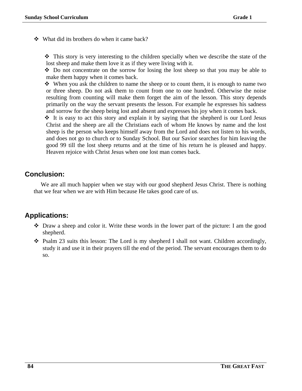What did its brothers do when it came back?

 This story is very interesting to the children specially when we describe the state of the lost sheep and make them love it as if they were living with it.

• Do not concentrate on the sorrow for losing the lost sheep so that you may be able to make them happy when it comes back.

 $\mathbf{\hat{P}}$  When you ask the children to name the sheep or to count them, it is enough to name two or three sheep. Do not ask them to count from one to one hundred. Otherwise the noise resulting from counting will make them forget the aim of the lesson. This story depends primarily on the way the servant presents the lesson. For example he expresses his sadness and sorrow for the sheep being lost and absent and expresses his joy when it comes back.

 $\cdot \cdot$  It is easy to act this story and explain it by saying that the shepherd is our Lord Jesus Christ and the sheep are all the Christians each of whom He knows by name and the lost sheep is the person who keeps himself away from the Lord and does not listen to his words, and does not go to church or to Sunday School. But our Savior searches for him leaving the good 99 till the lost sheep returns and at the time of his return he is pleased and happy. Heaven rejoice with Christ Jesus when one lost man comes back.

### **Conclusion:**

We are all much happier when we stay with our good shepherd Jesus Christ. There is nothing that we fear when we are with Him because He takes good care of us.

- Draw a sheep and color it. Write these words in the lower part of the picture: I am the good shepherd.
- Psalm 23 suits this lesson: The Lord is my shepherd I shall not want. Children accordingly, study it and use it in their prayers till the end of the period. The servant encourages them to do so.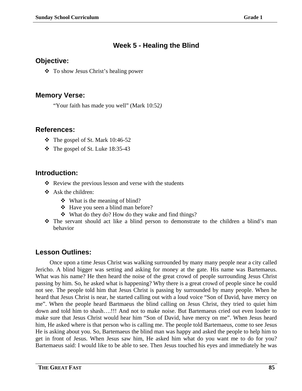# **Week 5 - Healing the Blind**

### **Objective:**

To show Jesus Christ's healing power

### **Memory Verse:**

"Your faith has made you well" (Mark 10:52*)* 

#### **References:**

- $\cdot \cdot$  The gospel of St. Mark 10:46-52
- $\div$  The gospel of St. Luke 18:35-43

# **Introduction:**

- $\triangle$  Review the previous lesson and verse with the students
- $\triangleleft$  Ask the children:
	- $\bullet\bullet$  What is the meaning of blind?
	- Have you seen a blind man before?
	- What do they do? How do they wake and find things?
- The servant should act like a blind person to demonstrate to the children a blind's man behavior

# **Lesson Outlines:**

Once upon a time Jesus Christ was walking surrounded by many many people near a city called Jericho. A blind bigger was setting and asking for money at the gate. His name was Bartemaeus. What was his name? He then heard the noise of the great crowd of people surrounding Jesus Christ passing by him. So, he asked what is happening? Why there is a great crowd of people since he could not see. The people told him that Jesus Christ is passing by surrounded by many people. When he heard that Jesus Christ is near, he started calling out with a loud voice "Son of David, have mercy on me". When the people heard Bartmaeus the blind calling on Jesus Christ, they tried to quiet him down and told him to shash….!!! And not to make noise. But Bartemaeus cried out even louder to make sure that Jesus Christ would hear him "Son of David, have mercy on me". When Jesus heard him, He asked where is that person who is calling me. The people told Bartemaeus, come to see Jesus He is asking about you. So, Bartemaeus the blind man was happy and asked the people to help him to get in front of Jesus. When Jesus saw him, He asked him what do you want me to do for you? Bartemaeus said: I would like to be able to see. Then Jesus touched his eyes and immediately he was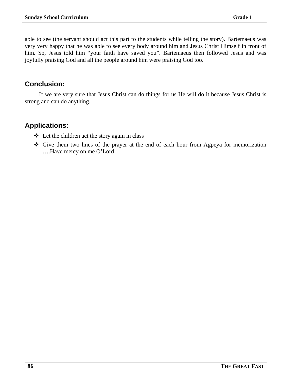able to see (the servant should act this part to the students while telling the story). Bartemaeus was very very happy that he was able to see every body around him and Jesus Christ Himself in front of him. So, Jesus told him "your faith have saved you". Bartemaeus then followed Jesus and was joyfully praising God and all the people around him were praising God too.

#### **Conclusion:**

If we are very sure that Jesus Christ can do things for us He will do it because Jesus Christ is strong and can do anything.

- $\triangle$  Let the children act the story again in class
- $\triangleleft$  Give them two lines of the prayer at the end of each hour from Agpeya for memorization ….Have mercy on me O'Lord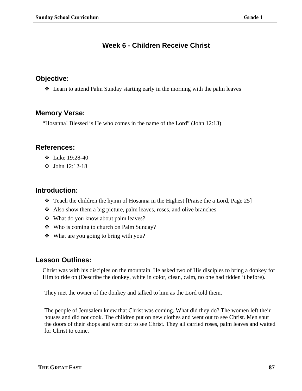# **Week 6 - Children Receive Christ**

## **Objective:**

Learn to attend Palm Sunday starting early in the morning with the palm leaves

# **Memory Verse:**

"Hosanna! Blessed is He who comes in the name of the Lord" (John 12:13)

# **References:**

- Luke 19:28-40
- $\div$  John 12:12-18

# **Introduction:**

- \* Teach the children the hymn of Hosanna in the Highest [Praise the a Lord, Page 25]
- Also show them a big picture, palm leaves, roses, and olive branches
- What do you know about palm leaves?
- Who is coming to church on Palm Sunday?
- What are you going to bring with you?

# **Lesson Outlines:**

Christ was with his disciples on the mountain. He asked two of His disciples to bring a donkey for Him to ride on (Describe the donkey, white in color, clean, calm, no one had ridden it before).

They met the owner of the donkey and talked to him as the Lord told them.

The people of Jerusalem knew that Christ was coming. What did they do? The women left their houses and did not cook. The children put on new clothes and went out to see Christ. Men shut the doors of their shops and went out to see Christ. They all carried roses, palm leaves and waited for Christ to come.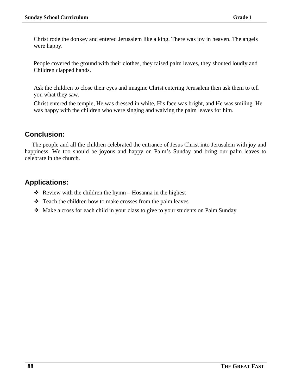Christ rode the donkey and entered Jerusalem like a king. There was joy in heaven. The angels were happy.

People covered the ground with their clothes, they raised palm leaves, they shouted loudly and Children clapped hands.

Ask the children to close their eyes and imagine Christ entering Jerusalem then ask them to tell you what they saw.

Christ entered the temple, He was dressed in white, His face was bright, and He was smiling. He was happy with the children who were singing and waiving the palm leaves for him.

# **Conclusion:**

The people and all the children celebrated the entrance of Jesus Christ into Jerusalem with joy and happiness. We too should be joyous and happy on Palm's Sunday and bring our palm leaves to celebrate in the church.

- $\triangleleft$  Review with the children the hymn Hosanna in the highest
- $\triangle$  Teach the children how to make crosses from the palm leaves
- Make a cross for each child in your class to give to your students on Palm Sunday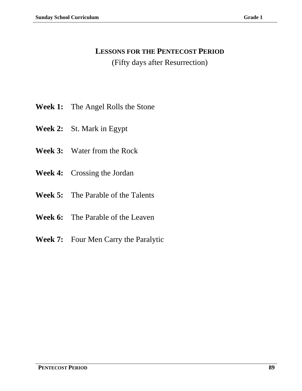# **LESSONS FOR THE PENTECOST PERIOD** (Fifty days after Resurrection)

- **Week 1:** The Angel Rolls the Stone
- **Week 2:** St. Mark in Egypt
- **Week 3:** Water from the Rock
- **Week 4:** Crossing the Jordan
- **Week 5:** The Parable of the Talents
- **Week 6:** The Parable of the Leaven
- **Week 7:** Four Men Carry the Paralytic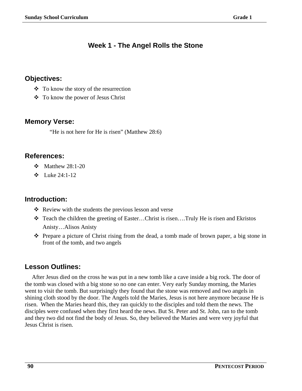# **Week 1 - The Angel Rolls the Stone**

### **Objectives:**

- $\triangleleft$  To know the story of the resurrection
- To know the power of Jesus Christ

#### **Memory Verse:**

"He is not here for He is risen" (Matthew 28:6)

### **References:**

- $\div$  Matthew 28:1-20
- $\div$  Luke 24:1-12

## **Introduction:**

- $\triangle$  Review with the students the previous lesson and verse
- Teach the children the greeting of Easter…Christ is risen….Truly He is risen and Ekristos Anisty…Alisos Anisty
- Prepare a picture of Christ rising from the dead, a tomb made of brown paper, a big stone in front of the tomb, and two angels

# **Lesson Outlines:**

After Jesus died on the cross he was put in a new tomb like a cave inside a big rock. The door of the tomb was closed with a big stone so no one can enter. Very early Sunday morning, the Maries went to visit the tomb. But surprisingly they found that the stone was removed and two angels in shining cloth stood by the door. The Angels told the Maries, Jesus is not here anymore because He is risen. When the Maries heard this, they ran quickly to the disciples and told them the news. The disciples were confused when they first heard the news. But St. Peter and St. John, ran to the tomb and they two did not find the body of Jesus. So, they believed the Maries and were very joyful that Jesus Christ is risen.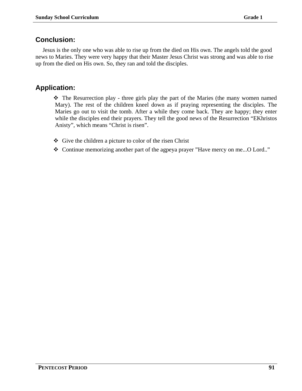#### **Conclusion:**

Jesus is the only one who was able to rise up from the died on His own. The angels told the good news to Maries. They were very happy that their Master Jesus Christ was strong and was able to rise up from the died on His own. So, they ran and told the disciples.

## **Application:**

 The Resurrection play - three girls play the part of the Maries (the many women named Mary). The rest of the children kneel down as if praying representing the disciples. The Maries go out to visit the tomb. After a while they come back. They are happy; they enter while the disciples end their prayers. They tell the good news of the Resurrection "EKhristos Anisty", which means "Christ is risen".

- $\triangleleft$  Give the children a picture to color of the risen Christ
- \* Continue memorizing another part of the agpeya prayer "Have mercy on me...O Lord.."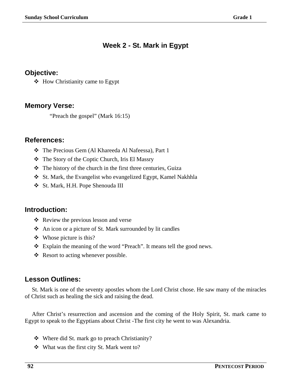# **Week 2 - St. Mark in Egypt**

### **Objective:**

 $\triangleleft$  How Christianity came to Egypt

#### **Memory Verse:**

"Preach the gospel" (Mark 16:15)

#### **References:**

- The Precious Gem (Al Khareeda Al Nafeessa), Part 1
- The Story of the Coptic Church, Iris El Massry
- $\triangleleft$  The history of the church in the first three centuries, Guiza
- $\triangleleft$  St. Mark, the Evangelist who evangelized Egypt, Kamel Nakhhla
- St. Mark, H.H. Pope Shenouda III

### **Introduction:**

- $\triangleleft$  Review the previous lesson and verse
- An icon or a picture of St. Mark surrounded by lit candles
- $\bullet$  Whose picture is this?
- Explain the meaning of the word "Preach". It means tell the good news.
- $\triangleleft$  Resort to acting whenever possible.

### **Lesson Outlines:**

St. Mark is one of the seventy apostles whom the Lord Christ chose. He saw many of the miracles of Christ such as healing the sick and raising the dead.

After Christ's resurrection and ascension and the coming of the Holy Spirit, St. mark came to Egypt to speak to the Egyptians about Christ -The first city he went to was Alexandria.

- Where did St. mark go to preach Christianity?
- What was the first city St. Mark went to?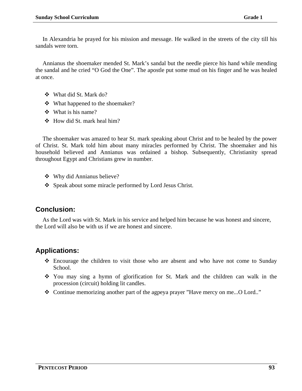In Alexandria he prayed for his mission and message. He walked in the streets of the city till his sandals were torn.

Annianus the shoemaker mended St. Mark's sandal but the needle pierce his hand while mending the sandal and he cried "O God the One". The apostle put some mud on his finger and he was healed at once.

- What did St. Mark do?
- What happened to the shoemaker?
- $\div$  What is his name?
- How did St. mark heal him?

The shoemaker was amazed to hear St. mark speaking about Christ and to be healed by the power of Christ. St. Mark told him about many miracles performed by Christ. The shoemaker and his household believed and Annianus was ordained a bishop. Subsequently, Christianity spread throughout Egypt and Christians grew in number.

- Why did Annianus believe?
- Speak about some miracle performed by Lord Jesus Christ.

### **Conclusion:**

As the Lord was with St. Mark in his service and helped him because he was honest and sincere, the Lord will also be with us if we are honest and sincere.

- Encourage the children to visit those who are absent and who have not come to Sunday School.
- You may sing a hymn of glorification for St. Mark and the children can walk in the procession (circuit) holding lit candles.
- \* Continue memorizing another part of the agpeya prayer "Have mercy on me...O Lord.."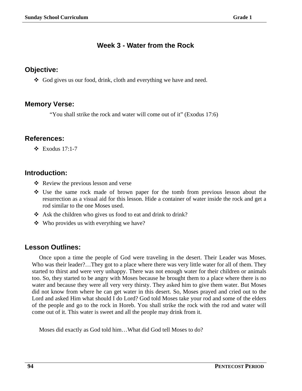# **Week 3 - Water from the Rock**

## **Objective:**

God gives us our food, drink, cloth and everything we have and need.

#### **Memory Verse:**

"You shall strike the rock and water will come out of it" (Exodus 17:6)

### **References:**

 $\div$  Exodus 17:1-7

### **Introduction:**

- $\triangleleft$  Review the previous lesson and verse
- Use the same rock made of brown paper for the tomb from previous lesson about the resurrection as a visual aid for this lesson. Hide a container of water inside the rock and get a rod similar to the one Moses used.
- $\triangleleft$  Ask the children who gives us food to eat and drink to drink?
- $\triangleleft$  Who provides us with everything we have?

# **Lesson Outlines:**

Once upon a time the people of God were traveling in the desert. Their Leader was Moses. Who was their leader?…They got to a place where there was very little water for all of them. They started to thirst and were very unhappy. There was not enough water for their children or animals too. So, they started to be angry with Moses because he brought them to a place where there is no water and because they were all very very thirsty. They asked him to give them water. But Moses did not know from where he can get water in this desert. So, Moses prayed and cried out to the Lord and asked Him what should I do Lord? God told Moses take your rod and some of the elders of the people and go to the rock in Horeb. You shall strike the rock with the rod and water will come out of it. This water is sweet and all the people may drink from it.

Moses did exactly as God told him…What did God tell Moses to do?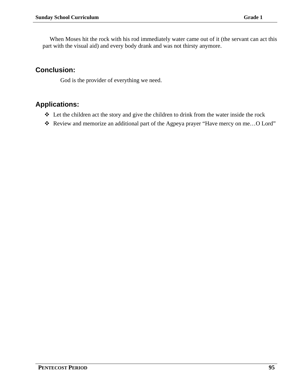When Moses hit the rock with his rod immediately water came out of it (the servant can act this part with the visual aid) and every body drank and was not thirsty anymore.

## **Conclusion:**

God is the provider of everything we need.

- Let the children act the story and give the children to drink from the water inside the rock
- \* Review and memorize an additional part of the Agpeya prayer "Have mercy on me...O Lord"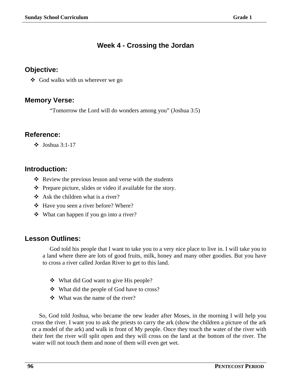# **Week 4 - Crossing the Jordan**

# **Objective:**

❖ God walks with us wherever we go

# **Memory Verse:**

"Tomorrow the Lord will do wonders among you" (Joshua 3:5)

# **Reference:**

 $\div$  Joshua 3:1-17

# **Introduction:**

- $\triangleleft$  Review the previous lesson and verse with the students
- $\triangle$  Prepare picture, slides or video if available for the story.
- $\triangle$  Ask the children what is a river?
- $\triangleleft$  Have you seen a river before? Where?
- What can happen if you go into a river?

# **Lesson Outlines:**

God told his people that I want to take you to a very nice place to live in. I will take you to a land where there are lots of good fruits, milk, honey and many other goodies. But you have to cross a river called Jordan River to get to this land.

- ❖ What did God want to give His people?
- ❖ What did the people of God have to cross?
- What was the name of the river?

So, God told Joshua, who became the new leader after Moses, in the morning I will help you cross the river. I want you to ask the priests to carry the ark (show the children a picture of the ark or a model of the ark) and walk in front of My people. Once they touch the water of the river with their feet the river will split open and they will cross on the land at the bottom of the river. The water will not touch them and none of them will even get wet.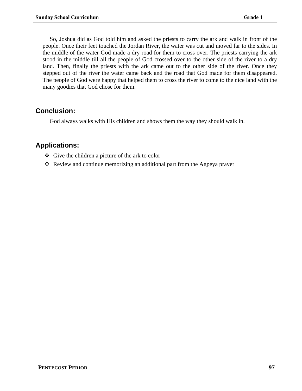So, Joshua did as God told him and asked the priests to carry the ark and walk in front of the people. Once their feet touched the Jordan River, the water was cut and moved far to the sides. In the middle of the water God made a dry road for them to cross over. The priests carrying the ark stood in the middle till all the people of God crossed over to the other side of the river to a dry land. Then, finally the priests with the ark came out to the other side of the river. Once they stepped out of the river the water came back and the road that God made for them disappeared. The people of God were happy that helped them to cross the river to come to the nice land with the many goodies that God chose for them.

#### **Conclusion:**

God always walks with His children and shows them the way they should walk in.

- Give the children a picture of the ark to color
- $\mathbf{\hat{P}}$  Review and continue memorizing an additional part from the Agpeya prayer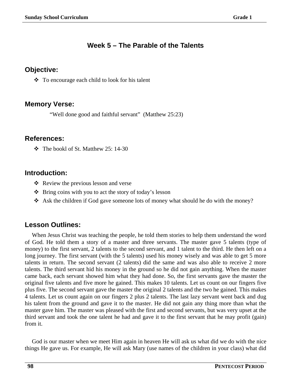## **Week 5 – The Parable of the Talents**

#### **Objective:**

To encourage each child to look for his talent

#### **Memory Verse:**

"Well done good and faithful servant" (Matthew 25:23)

#### **References:**

 $\div$  The bookl of St. Matthew 25: 14-30

#### **Introduction:**

- $\triangleleft$  Review the previous lesson and verse
- ❖ Bring coins with you to act the story of today's lesson
- Ask the children if God gave someone lots of money what should he do with the money?

## **Lesson Outlines:**

When Jesus Christ was teaching the people, he told them stories to help them understand the word of God. He told them a story of a master and three servants. The master gave 5 talents (type of money) to the first servant, 2 talents to the second servant, and 1 talent to the third. He then left on a long journey. The first servant (with the 5 talents) used his money wisely and was able to get 5 more talents in return. The second servant (2 talents) did the same and was also able to receive 2 more talents. The third servant hid his money in the ground so he did not gain anything. When the master came back, each servant showed him what they had done. So, the first servants gave the master the original five talents and five more he gained. This makes 10 talents. Let us count on our fingers five plus five. The second servant gave the master the original 2 talents and the two he gained. This makes 4 talents. Let us count again on our fingers 2 plus 2 talents. The last lazy servant went back and dug his talent from the ground and gave it to the master. He did not gain any thing more than what the master gave him. The master was pleased with the first and second servants, but was very upset at the third servant and took the one talent he had and gave it to the first servant that he may profit (gain) from it.

God is our master when we meet Him again in heaven He will ask us what did we do with the nice things He gave us. For example, He will ask Mary (use names of the children in your class) what did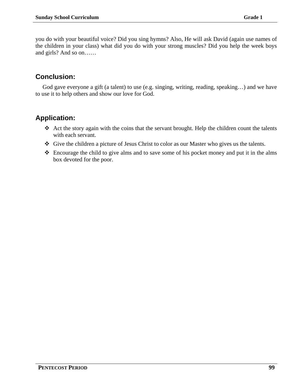you do with your beautiful voice? Did you sing hymns? Also, He will ask David (again use names of the children in your class) what did you do with your strong muscles? Did you help the week boys and girls? And so on……

### **Conclusion:**

God gave everyone a gift (a talent) to use (e.g. singing, writing, reading, speaking…) and we have to use it to help others and show our love for God.

- Act the story again with the coins that the servant brought. Help the children count the talents with each servant.
- Give the children a picture of Jesus Christ to color as our Master who gives us the talents.
- Encourage the child to give alms and to save some of his pocket money and put it in the alms box devoted for the poor.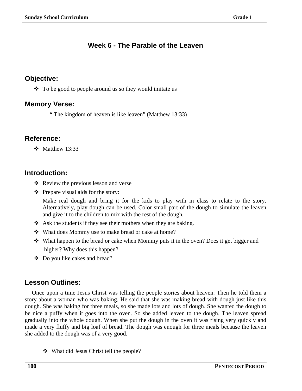## **Week 6 - The Parable of the Leaven**

#### **Objective:**

 $\cdot \cdot \cdot$  To be good to people around us so they would imitate us

#### **Memory Verse:**

" The kingdom of heaven is like leaven" (Matthew 13:33)

#### **Reference:**

 $\div$  Matthew 13:33

#### **Introduction:**

- $\triangleleft$  Review the previous lesson and verse
- $\triangleleft$  Prepare visual aids for the story:

Make real dough and bring it for the kids to play with in class to relate to the story. Alternatively, play dough can be used. Color small part of the dough to simulate the leaven and give it to the children to mix with the rest of the dough.

- $\triangleleft$  Ask the students if they see their mothers when they are baking.
- What does Mommy use to make bread or cake at home?
- What happen to the bread or cake when Mommy puts it in the oven? Does it get bigger and higher? Why does this happen?
- Do you like cakes and bread?

#### **Lesson Outlines:**

Once upon a time Jesus Christ was telling the people stories about heaven. Then he told them a story about a woman who was baking. He said that she was making bread with dough just like this dough. She was baking for three meals, so she made lots and lots of dough. She wanted the dough to be nice a puffy when it goes into the oven. So she added leaven to the dough. The leaven spread gradually into the whole dough. When she put the dough in the oven it was rising very quickly and made a very fluffy and big loaf of bread. The dough was enough for three meals because the leaven she added to the dough was of a very good.

What did Jesus Christ tell the people?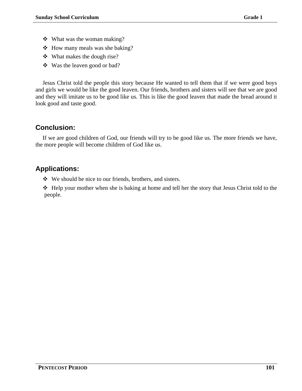- What was the woman making?
- $\triangleleft$  How many meals was she baking?
- What makes the dough rise?
- Was the leaven good or bad?

Jesus Christ told the people this story because He wanted to tell them that if we were good boys and girls we would be like the good leaven. Our friends, brothers and sisters will see that we are good and they will imitate us to be good like us. This is like the good leaven that made the bread around it look good and taste good.

#### **Conclusion:**

If we are good children of God, our friends will try to be good like us. The more friends we have, the more people will become children of God like us.

### **Applications:**

We should be nice to our friends, brothers, and sisters.

 Help your mother when she is baking at home and tell her the story that Jesus Christ told to the people.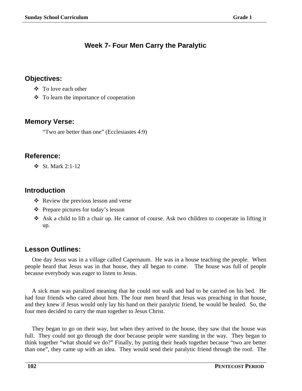# **Week 7- Four Men Carry the Paralytic**

## **Objectives:**

- ❖ To love each other
- $\cdot \cdot$  To learn the importance of cooperation

## **Memory Verse:**

"Two are better than one" (Ecclesiastes 4:9)

## **Reference:**

 $\div$  St. Mark 2:1-12

## **Introduction**

- $\triangleleft$  Review the previous lesson and verse
- $\triangle$  Prepare pictures for today's lesson
- $\triangle$  Ask a child to lift a chair up. He cannot of course. Ask two children to cooperate in lifting it up.

## **Lesson Outlines:**

One day Jesus was in a village called Capernaum. He was in a house teaching the people. When people heard that Jesus was in that house, they all began to come. The house was full of people because everybody was eager to listen to Jesus.

A sick man was paralized meaning that he could not walk and had to be carried on his bed. He had four friends who cared about him. The four men heard that Jesus was preaching in that house, and they knew if Jesus would only lay his hand on their paralytic friend, he would be healed. So, the four men decided to carry the man together to Jesus Christ.

They began to go on their way, but when they arrived to the house, they saw that the house was full. They could not go through the door because people were standing in the way. They began to think together "what should we do?" Finally, by putting their heads together because "two are better than one", they came up with an idea. They would send their paralytic friend through the roof. The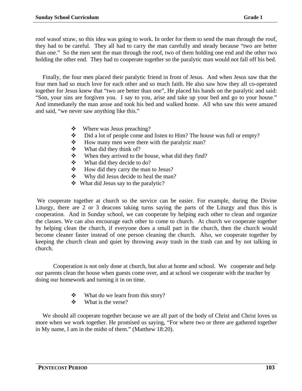roof wasof straw, so this idea was going to work. In order for them to send the man through the roof, they had to be careful. They all had to carry the man carefully and steady because "two are better than one." So the men sent the man through the roof, two of them holding one end and the other two holding the other end. They had to cooperate together so the paralytic man would not fall off his bed.

Finally, the four men placed their paralytic friend in front of Jesus. And when Jesus saw that the four men had so much love for each other and so much faith. He also saw how they all co-operated together for Jesus knew that "two are better than one", He placed his hands on the paralytic and said: "Son, your sins are forgiven you. I say to you, arise and take up your bed and go to your house." And immediately the man arose and took his bed and walked home. All who saw this were amazed and said, "we never saw anything like this."

- ❖ Where was Jesus preaching?
- ❖ Did a lot of people come and listen to Him? The house was full or empty?
- ❖ How many men were there with the paralytic man?
- ❖ What did they think of?
- ❖ When they arrived to the house, what did they find?
- ❖ What did they decide to do?
- $\frac{1}{2}$ How did they carry the man to Jesus?
- ❖ Why did Jesus decide to heal the man?
- What did Jesus say to the paralytic?

We cooperate together at church so the service can be easier. For example, during the Divine Liturgy, there are 2 or 3 deacons taking turns saying the parts of the Liturgy and thus this is cooperation. And in Sunday school, we can cooperate by helping each other to clean and organize the classes. We can also encourage each other to come to church. At church we cooperate together by helping clean the church, if everyone does a small part in the church, then the church would become cleaner faster instead of one person cleaning the church. Also, we cooperate together by keeping the church clean and quiet by throwing away trash in the trash can and by not talking in church.

Cooperation is not only done at church, but also at home and school. We cooperate and help our parents clean the house when guests come over, and at school we cooperate with the teacher by doing our homework and turning it in on time.

- ❖ What do we learn from this story?
- $\frac{1}{2}$ What is the verse?

We should all cooperate together because we are all part of the body of Christ and Christ loves us more when we work together. He promised us saying, "For where two or three are gathered together in My name, I am in the midst of them." (Matthew 18:20).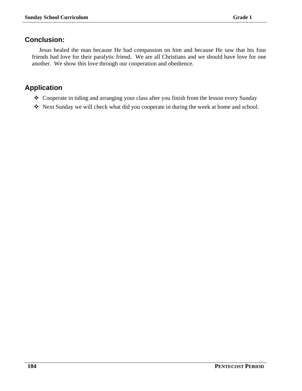### **Conclusion:**

Jesus healed the man because He had compassion on him and because He saw that his four friends had love for their paralytic friend. We are all Christians and we should have love for one another. We show this love through our cooperation and obedience.

- Cooperate in tiding and arranging your class after you finish from the lesson every Sunday
- Next Sunday we will check what did you cooperate in during the week at home and school.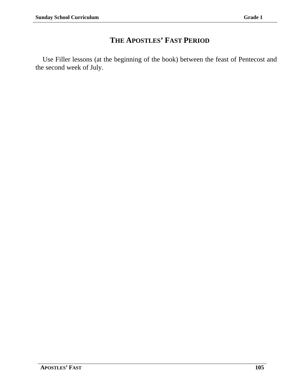# **THE APOSTLES' FAST PERIOD**

Use Filler lessons (at the beginning of the book) between the feast of Pentecost and the second week of July.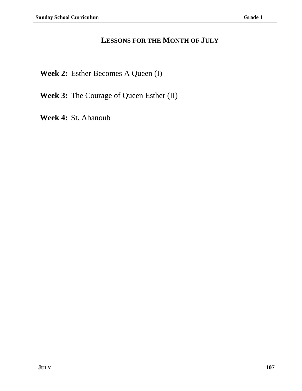## **LESSONS FOR THE MONTH OF JULY**

**Week 2:** Esther Becomes A Queen (I)

**Week 3:** The Courage of Queen Esther (II)

**Week 4:** St. Abanoub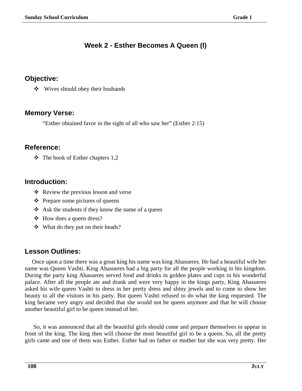# **Week 2 - Esther Becomes A Queen (I)**

## **Objective:**

Wives should obey their husbands

### **Memory Verse:**

"Esther obtained favor in the sight of all who saw her" (Esther 2:15)

### **Reference:**

 $\div$  The book of Esther chapters 1,2

## **Introduction:**

- $\triangleleft$  Review the previous lesson and verse
- $\triangle$  Prepare some pictures of queens
- $\triangle$  Ask the students if they know the name of a queen
- How does a queen dress?
- ❖ What do they put on their heads?

## **Lesson Outlines:**

Once upon a time there was a great king his name was king Ahasueres. He had a beautiful wife her name was Queen Vashti. King Ahasueres had a big party for all the people working in his kingdom. During the party king Ahasueres served food and drinks in golden plates and cups in his wonderful palace. After all the people ate and drank and were very happy in the kings party, King Ahasueres asked his wife queen Vashti to dress in her pretty dress and shiny jewels and to come to show her beauty to all the visitors in his party. But queen Vashti refused to do what the king requested. The king became very angry and decided that she would not be queen anymore and that he will choose another beautiful girl to be queen instead of her.

So, it was announced that all the beautiful girls should come and prepare themselves to appear in front of the king. The king then will choose the most beautiful girl to be a queen. So, all the pretty girls came and one of them was Esther. Esther had no father or mother but she was very pretty. Her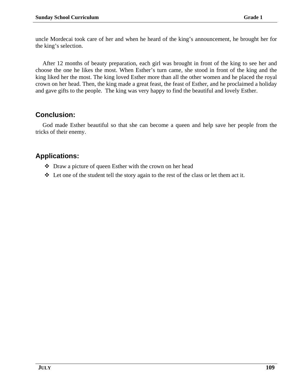uncle Mordecai took care of her and when he heard of the king's announcement, he brought her for the king's selection.

After 12 months of beauty preparation, each girl was brought in front of the king to see her and choose the one he likes the most. When Esther's turn came, she stood in front of the king and the king liked her the most. The king loved Esther more than all the other women and he placed the royal crown on her head. Then, the king made a great feast, the feast of Esther, and he proclaimed a holiday and gave gifts to the people. The king was very happy to find the beautiful and lovely Esther.

### **Conclusion:**

God made Esther beautiful so that she can become a queen and help save her people from the tricks of their enemy.

- Draw a picture of queen Esther with the crown on her head
- $\triangleleft$  Let one of the student tell the story again to the rest of the class or let them act it.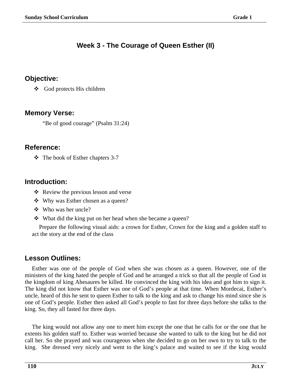# **Week 3 - The Courage of Queen Esther (II)**

## **Objective:**

God protects His children

### **Memory Verse:**

"Be of good courage" (Psalm 31:24)

### **Reference:**

The book of Esther chapters 3-7

### **Introduction:**

- ❖ Review the previous lesson and verse
- Why was Esther chosen as a queen?
- Who was her uncle?
- **❖** What did the king put on her head when she became a queen?

Prepare the following visual aids: a crown for Esther, Crown for the king and a golden staff to act the story at the end of the class

## **Lesson Outlines:**

Esther was one of the people of God when she was chosen as a queen. However, one of the ministers of the king hated the people of God and he arranged a trick so that all the people of God in the kingdom of king Ahesaures be killed. He convinced the king with his idea and got him to sign it. The king did not know that Esther was one of God's people at that time. When Mordecai, Esther's uncle, heard of this he sent to queen Esther to talk to the king and ask to change his mind since she is one of God's people. Esther then asked all God's people to fast for three days before she talks to the king. So, they all fasted for three days.

The king would not allow any one to meet him except the one that he calls for or the one that he extents his golden staff to. Esther was worried because she wanted to talk to the king but he did not call her. So she prayed and was courageous when she decided to go on her own to try to talk to the king. She dressed very nicely and went to the king's palace and waited to see if the king would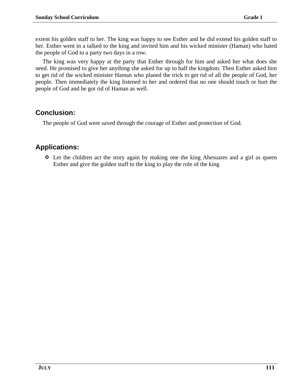The king was very happy at the party that Esther through for him and asked her what does she need. He promised to give her anything she asked for up to half the kingdom. Then Esther asked him to get rid of the wicked minister Haman who planed the trick to get rid of all the people of God, her people. Then immediately the king listened to her and ordered that no one should touch or hurt the people of God and he got rid of Haman as well.

### **Conclusion:**

The people of God were saved through the courage of Esther and protection of God.

## **Applications:**

 Let the children act the story again by making one the king Ahesuares and a girl as queen Esther and give the golden staff to the king to play the role of the king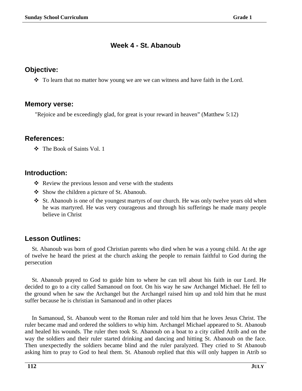### **Week 4 - St. Abanoub**

#### **Objective:**

\* To learn that no matter how young we are we can witness and have faith in the Lord.

#### **Memory verse:**

"Rejoice and be exceedingly glad, for great is your reward in heaven" (Matthew 5:12)

### **References:**

The Book of Saints Vol. 1

### **Introduction:**

- $\triangle$  Review the previous lesson and verse with the students
- Show the children a picture of St. Abanoub.
- St. Abanoub is one of the youngest martyrs of our church. He was only twelve years old when he was martyred. He was very courageous and through his sufferings he made many people believe in Christ

## **Lesson Outlines:**

St. Abanoub was born of good Christian parents who died when he was a young child. At the age of twelve he heard the priest at the church asking the people to remain faithful to God during the persecution

St. Abanoub prayed to God to guide him to where he can tell about his faith in our Lord. He decided to go to a city called Samanoud on foot. On his way he saw Archangel Michael. He fell to the ground when he saw the Archangel but the Archangel raised him up and told him that he must suffer because he is christian in Samanoud and in other places

In Samanoud, St. Abanoub went to the Roman ruler and told him that he loves Jesus Christ. The ruler became mad and ordered the soldiers to whip him. Archangel Michael appeared to St. Abanoub and healed his wounds. The ruler then took St. Abanoub on a boat to a city called Atrib and on the way the soldiers and their ruler started drinking and dancing and hitting St. Abanoub on the face. Then unexpectedly the soldiers became blind and the ruler paralyzed. They cried to St Abanoub asking him to pray to God to heal them. St. Abanoub replied that this will only happen in Atrib so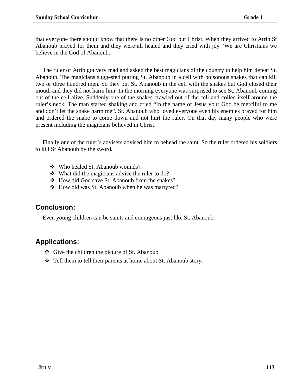that everyone there should know that there is no other God but Christ. When they arrived to Atrib St Abanoub prayed for them and they were all healed and they cried with joy "We are Christians we believe in the God of Abanoub.

The ruler of Atrib got very mad and asked the best magicians of the country to help him defeat St. Abanoub. The magicians suggested putting St. Abanoub in a cell with poisonous snakes that can kill two or three hundred men. So they put St. Abanoub in the cell with the snakes but God closed their mouth and they did not harm him. In the morning everyone was surprised to see St. Abanoub coming out of the cell alive. Suddenly one of the snakes crawled out of the cell and coiled itself around the ruler's neck. The man started shaking and cried "In the name of Jesus your God be merciful to me and don't let the snake harm me". St. Abanoub who loved everyone even his enemies prayed for him and ordered the snake to come down and not hurt the ruler. On that day many people who were present including the magicians believed in Christ.

Finally one of the ruler's advisers advised him to behead the saint. So the ruler ordered his soldiers to kill St Abanoub by the sword.

- Who healed St. Abanoub wounds?
- What did the magicians advice the ruler to do?
- How did God save St. Abanoub from the snakes?
- ◆ How old was St. Abanoub when he was martyred?

#### **Conclusion:**

Even young children can be saints and courageous just like St. Abanoub.

- Give the children the picture of St. Abanoub
- Tell them to tell their parents at home about St. Abanoub story.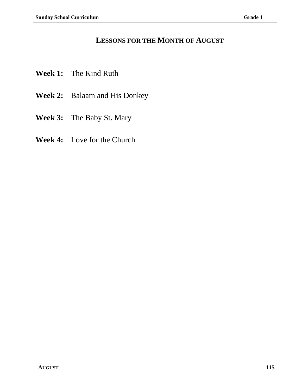# **LESSONS FOR THE MONTH OF AUGUST**

- **Week 1:** The Kind Ruth
- **Week 2:** Balaam and His Donkey
- **Week 3:** The Baby St. Mary
- **Week 4:** Love for the Church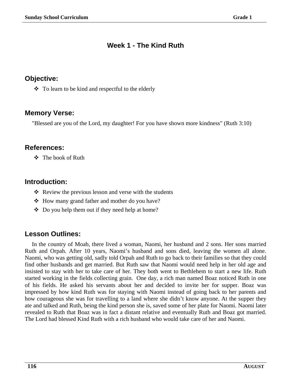## **Week 1 - The Kind Ruth**

#### **Objective:**

To learn to be kind and respectful to the elderly

### **Memory Verse:**

"Blessed are you of the Lord, my daughter! For you have shown more kindness" (Ruth 3:10)

#### **References:**

The book of Ruth

#### **Introduction:**

- $\triangle$  Review the previous lesson and verse with the students
- ❖ How many grand father and mother do you have?
- $\triangle$  Do you help them out if they need help at home?

## **Lesson Outlines:**

In the country of Moab, there lived a woman, Naomi, her husband and 2 sons. Her sons married Ruth and Orpah. After 10 years, Naomi's husband and sons died, leaving the women all alone. Naomi, who was getting old, sadly told Orpah and Ruth to go back to their families so that they could find other husbands and get married. But Ruth saw that Naomi would need help in her old age and insisted to stay with her to take care of her. They both went to Bethlehem to start a new life. Ruth started working in the fields collecting grain. One day, a rich man named Boaz noticed Ruth in one of his fields. He asked his servants about her and decided to invite her for supper. Boaz was impressed by how kind Ruth was for staying with Naomi instead of going back to her parents and how courageous she was for travelling to a land where she didn't know anyone. At the supper they ate and talked and Ruth, being the kind person she is, saved some of her plate for Naomi. Naomi later revealed to Ruth that Boaz was in fact a distant relative and eventually Ruth and Boaz got married. The Lord had blessed Kind Ruth with a rich husband who would take care of her and Naomi.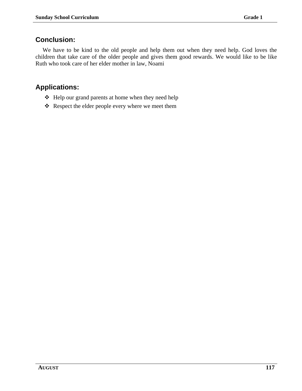### **Conclusion:**

We have to be kind to the old people and help them out when they need help. God loves the children that take care of the older people and gives them good rewards. We would like to be like Ruth who took care of her elder mother in law, Noami

- Help our grand parents at home when they need help
- \* Respect the elder people every where we meet them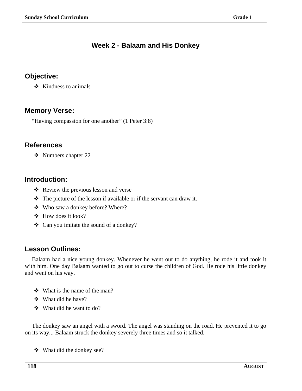### **Objective:**

 $\div$  Kindness to animals

#### **Memory Verse:**

"Having compassion for one another" (1 Peter 3:8)

#### **References**

Numbers chapter 22

#### **Introduction:**

- $\triangleleft$  Review the previous lesson and verse
- The picture of the lesson if available or if the servant can draw it.
- Who saw a donkey before? Where?
- $\div$  How does it look?
- Can you imitate the sound of a donkey?

## **Lesson Outlines:**

Balaam had a nice young donkey. Whenever he went out to do anything, he rode it and took it with him. One day Balaam wanted to go out to curse the children of God. He rode his little donkey and went on his way.

- $\div$  What is the name of the man?
- What did he have?
- What did he want to do?

The donkey saw an angel with a sword. The angel was standing on the road. He prevented it to go on its way... Balaam struck the donkey severely three times and so it talked.

What did the donkey see?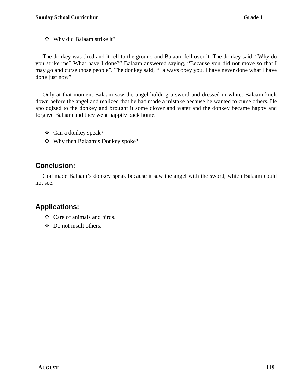Why did Balaam strike it?

The donkey was tired and it fell to the ground and Balaam fell over it. The donkey said, "Why do you strike me? What have I done?" Balaam answered saying, "Because you did not move so that I may go and curse those people". The donkey said, "I always obey you, I have never done what I have done just now".

Only at that moment Balaam saw the angel holding a sword and dressed in white. Balaam knelt down before the angel and realized that he had made a mistake because he wanted to curse others. He apologized to the donkey and brought it some clover and water and the donkey became happy and forgave Balaam and they went happily back home.

- Can a donkey speak?
- Why then Balaam's Donkey spoke?

## **Conclusion:**

God made Balaam's donkey speak because it saw the angel with the sword, which Balaam could not see.

- Care of animals and birds.
- $\div$  Do not insult others.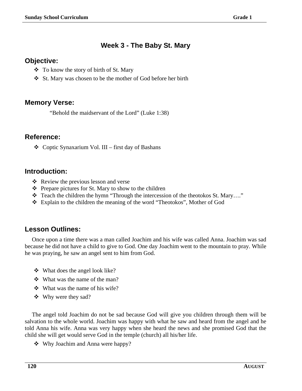## **Week 3 - The Baby St. Mary**

#### **Objective:**

- $\triangleleft$  To know the story of birth of St. Mary
- St. Mary was chosen to be the mother of God before her birth

#### **Memory Verse:**

"Behold the maidservant of the Lord" (Luke 1:38)

### **Reference:**

 $\triangleleft$  Coptic Synaxarium Vol. III – first day of Bashans

### **Introduction:**

- ❖ Review the previous lesson and verse
- ❖ Prepare pictures for St. Mary to show to the children
- Teach the children the hymn "Through the intercession of the theotokos St. Mary…."
- Explain to the children the meaning of the word "Theotokos", Mother of God

## **Lesson Outlines:**

Once upon a time there was a man called Joachim and his wife was called Anna. Joachim was sad because he did not have a child to give to God. One day Joachim went to the mountain to pray. While he was praying, he saw an angel sent to him from God.

- **❖** What does the angel look like?
- What was the name of the man?
- What was the name of his wife?
- Why were they sad?

The angel told Joachim do not be sad because God will give you children through them will be salvation to the whole world. Joachim was happy with what he saw and heard from the angel and he told Anna his wife. Anna was very happy when she heard the news and she promised God that the child she will get would serve God in the temple (church) all his/her life.

❖ Why Joachim and Anna were happy?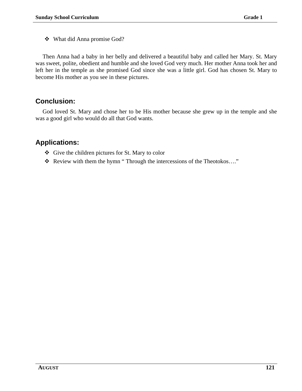What did Anna promise God?

Then Anna had a baby in her belly and delivered a beautiful baby and called her Mary. St. Mary was sweet, polite, obedient and humble and she loved God very much. Her mother Anna took her and left her in the temple as she promised God since she was a little girl. God has chosen St. Mary to become His mother as you see in these pictures.

#### **Conclusion:**

God loved St. Mary and chose her to be His mother because she grew up in the temple and she was a good girl who would do all that God wants.

- Give the children pictures for St. Mary to color
- \* Review with them the hymn " Through the intercessions of the Theotokos..."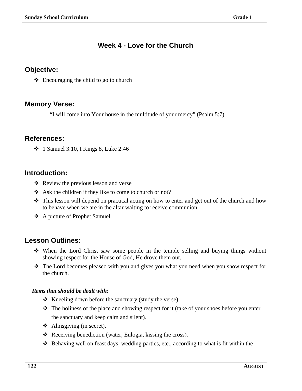## **Week 4 - Love for the Church**

#### **Objective:**

 $\triangleleft$  Encouraging the child to go to church

#### **Memory Verse:**

"I will come into Your house in the multitude of your mercy" (Psalm 5:7)

#### **References:**

 $\div$  1 Samuel 3:10, I Kings 8, Luke 2:46

#### **Introduction:**

- $\triangleleft$  Review the previous lesson and verse
- Ask the children if they like to come to church or not?
- This lesson will depend on practical acting on how to enter and get out of the church and how to behave when we are in the altar waiting to receive communion
- A picture of Prophet Samuel.

#### **Lesson Outlines:**

- When the Lord Christ saw some people in the temple selling and buying things without showing respect for the House of God, He drove them out.
- The Lord becomes pleased with you and gives you what you need when you show respect for the church.

#### *Items that should be dealt with:*

- $\triangle$  Kneeling down before the sanctuary (study the verse)
- The holiness of the place and showing respect for it (take of your shoes before you enter the sanctuary and keep calm and silent).
- $\triangleleft$  Almsgiving (in secret).
- $\triangle$  Receiving benediction (water, Eulogia, kissing the cross).
- $\triangle$  Behaving well on feast days, wedding parties, etc., according to what is fit within the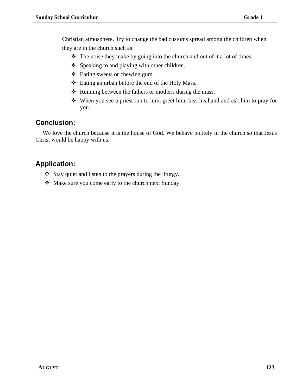Christian atmosphere. Try to change the bad customs spread among the children when they are in the church such as:

- The noise they make by going into the church and out of it a lot of times.
- $\triangle$  Speaking to and playing with other children.
- Eating sweets or chewing gum.
- Eating an urban before the end of the Holy Mass.
- ❖ Running between the fathers or mothers during the mass.
- When you see a priest run to him, greet him, kiss his hand and ask him to pray for you.

### **Conclusion:**

We love the church because it is the house of God. We behave politely in the church so that Jesus Christ would be happy with us.

- Stay quiet and listen to the prayers during the liturgy.
- Make sure you come early to the church next Sunday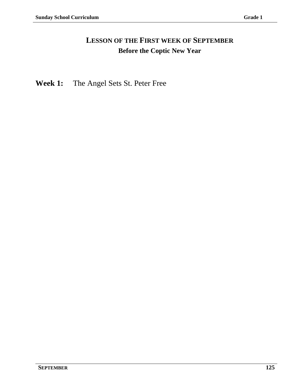# **LESSON OF THE FIRST WEEK OF SEPTEMBER Before the Coptic New Year**

**Week 1:** The Angel Sets St. Peter Free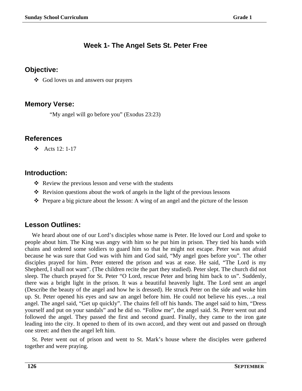## **Week 1- The Angel Sets St. Peter Free**

#### **Objective:**

God loves us and answers our prayers

#### **Memory Verse:**

"My angel will go before you" (Exodus 23:23)

### **References**

 $\div$  Acts 12: 1-17

#### **Introduction:**

- $\triangle$  Review the previous lesson and verse with the students
- Revision questions about the work of angels in the light of the previous lessons
- $\triangle$  Prepare a big picture about the lesson: A wing of an angel and the picture of the lesson

## **Lesson Outlines:**

We heard about one of our Lord's disciples whose name is Peter. He loved our Lord and spoke to people about him. The King was angry with him so he put him in prison. They tied his hands with chains and ordered some soldiers to guard him so that he might not escape. Peter was not afraid because he was sure that God was with him and God said, "My angel goes before you". The other disciples prayed for him. Peter entered the prison and was at ease. He said, "The Lord is my Shepherd, I shall not want". (The children recite the part they studied). Peter slept. The church did not sleep. The church prayed for St. Peter "O Lord, rescue Peter and bring him back to us". Suddenly, there was a bright light in the prison. It was a beautiful heavenly light. The Lord sent an angel (Describe the beauty of the angel and how he is dressed). He struck Peter on the side and woke him up. St. Peter opened his eyes and saw an angel before him. He could not believe his eyes…a real angel. The angel said, "Get up quickly". The chains fell off his hands. The angel said to him, "Dress yourself and put on your sandals" and he did so. "Follow me", the angel said. St. Peter went out and followed the angel. They passed the first and second guard. Finally, they came to the iron gate leading into the city. It opened to them of its own accord, and they went out and passed on through one street: and then the angel left him.

St. Peter went out of prison and went to St. Mark's house where the disciples were gathered together and were praying.